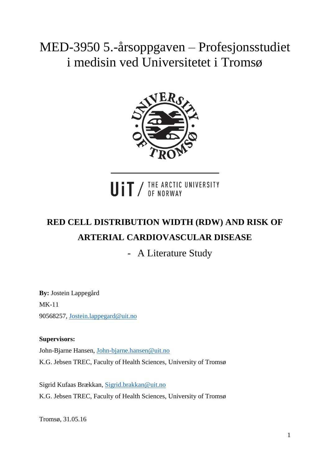# MED-3950 5.-årsoppgaven – Profesjonsstudiet i medisin ved Universitetet i Tromsø



UIT / THE ARCTIC UNIVERSITY

# **RED CELL DISTRIBUTION WIDTH (RDW) AND RISK OF ARTERIAL CARDIOVASCULAR DISEASE**

- A Literature Study

**By:** Jostein Lappegård MK-11 90568257, [Jostein.lappegard@uit.no](mailto:Jostein.lappegard@uit.no)

### **Supervisors:**

John-Bjarne Hansen, [John-bjarne.hansen@uit.no](mailto:John-bjarne.hansen@uit.no) K.G. Jebsen TREC, Faculty of Health Sciences, University of Tromsø

Sigrid Kufaas Brækkan, [Sigrid.brakkan@uit.no](mailto:Sigrid.brakkan@uit.no) K.G. Jebsen TREC, Faculty of Health Sciences, University of Tromsø

Tromsø, 31.05.16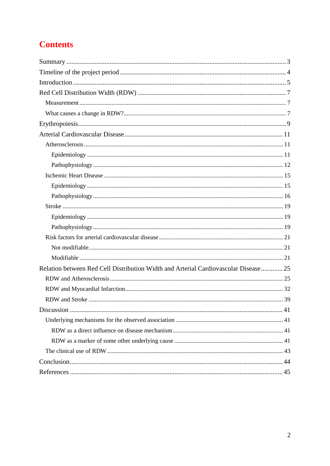## **Contents**

| Relation between Red Cell Distribution Width and Arterial Cardiovascular Disease 25 |  |
|-------------------------------------------------------------------------------------|--|
|                                                                                     |  |
|                                                                                     |  |
|                                                                                     |  |
|                                                                                     |  |
|                                                                                     |  |
|                                                                                     |  |
|                                                                                     |  |
|                                                                                     |  |
|                                                                                     |  |
|                                                                                     |  |
|                                                                                     |  |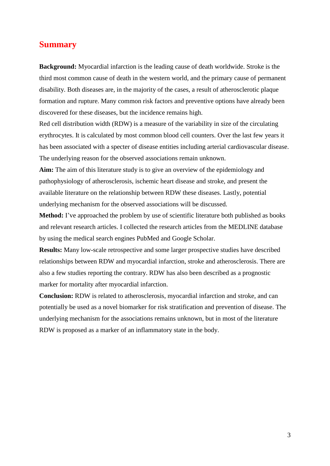## <span id="page-2-0"></span>**Summary**

**Background:** Myocardial infarction is the leading cause of death worldwide. Stroke is the third most common cause of death in the western world, and the primary cause of permanent disability. Both diseases are, in the majority of the cases, a result of atherosclerotic plaque formation and rupture. Many common risk factors and preventive options have already been discovered for these diseases, but the incidence remains high.

Red cell distribution width (RDW) is a measure of the variability in size of the circulating erythrocytes. It is calculated by most common blood cell counters. Over the last few years it has been associated with a specter of disease entities including arterial cardiovascular disease. The underlying reason for the observed associations remain unknown.

**Aim:** The aim of this literature study is to give an overview of the epidemiology and pathophysiology of atherosclerosis, ischemic heart disease and stroke, and present the available literature on the relationship between RDW these diseases. Lastly, potential underlying mechanism for the observed associations will be discussed.

**Method:** I've approached the problem by use of scientific literature both published as books and relevant research articles. I collected the research articles from the MEDLINE database by using the medical search engines PubMed and Google Scholar.

**Results:** Many low-scale retrospective and some larger prospective studies have described relationships between RDW and myocardial infarction, stroke and atherosclerosis. There are also a few studies reporting the contrary. RDW has also been described as a prognostic marker for mortality after myocardial infarction.

**Conclusion:** RDW is related to atherosclerosis, myocardial infarction and stroke, and can potentially be used as a novel biomarker for risk stratification and prevention of disease. The underlying mechanism for the associations remains unknown, but in most of the literature RDW is proposed as a marker of an inflammatory state in the body.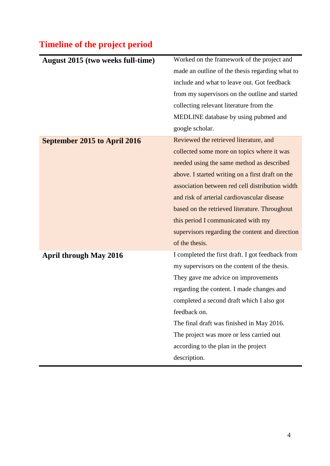# <span id="page-3-0"></span>**Timeline of the project period**

| August 2015 (two weeks full-time) | Worked on the framework of the project and       |  |  |
|-----------------------------------|--------------------------------------------------|--|--|
|                                   | made an outline of the thesis regarding what to  |  |  |
|                                   | include and what to leave out. Got feedback      |  |  |
|                                   | from my supervisors on the outline and started   |  |  |
|                                   | collecting relevant literature from the          |  |  |
|                                   | MEDLINE database by using pubmed and             |  |  |
|                                   | google scholar.                                  |  |  |
| September 2015 to April 2016      | Reviewed the retrieved literature, and           |  |  |
|                                   | collected some more on topics where it was       |  |  |
|                                   | needed using the same method as described        |  |  |
|                                   | above. I started writing on a first draft on the |  |  |
|                                   | association between red cell distribution width  |  |  |
|                                   | and risk of arterial cardiovascular disease      |  |  |
|                                   | based on the retrieved literature. Throughout    |  |  |
|                                   | this period I communicated with my               |  |  |
|                                   | supervisors regarding the content and direction  |  |  |
|                                   | of the thesis.                                   |  |  |
| <b>April through May 2016</b>     | I completed the first draft. I got feedback from |  |  |
|                                   | my supervisors on the content of the thesis.     |  |  |
|                                   | They gave me advice on improvements              |  |  |
|                                   | regarding the content. I made changes and        |  |  |
|                                   | completed a second draft which I also got        |  |  |
|                                   | feedback on.                                     |  |  |
|                                   | The final draft was finished in May 2016.        |  |  |
|                                   | The project was more or less carried out         |  |  |
|                                   | according to the plan in the project             |  |  |
|                                   | description.                                     |  |  |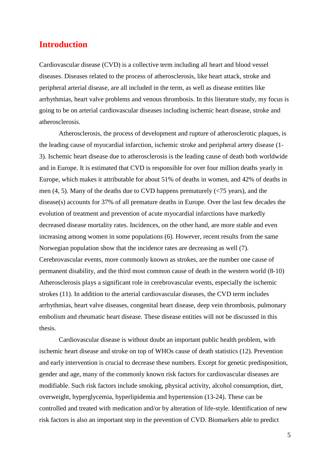## <span id="page-4-0"></span>**Introduction**

Cardiovascular disease (CVD) is a collective term including all heart and blood vessel diseases. Diseases related to the process of atherosclerosis, like heart attack, stroke and peripheral arterial disease, are all included in the term, as well as disease entities like arrhythmias, heart valve problems and venous thrombosis. In this literature study, my focus is going to be on arterial cardiovascular diseases including ischemic heart disease, stroke and atherosclerosis.

Atherosclerosis, the process of development and rupture of atherosclerotic plaques, is the leading cause of myocardial infarction, ischemic stroke and peripheral artery disease (1- 3). Ischemic heart disease due to atherosclerosis is the leading cause of death both worldwide and in Europe. It is estimated that CVD is responsible for over four million deaths yearly in Europe, which makes it attributable for about 51% of deaths in women, and 42% of deaths in men  $(4, 5)$ . Many of the deaths due to CVD happens prematurely  $(\langle 75 \rangle$  years), and the disease(s) accounts for 37% of all premature deaths in Europe. Over the last few decades the evolution of treatment and prevention of acute myocardial infarctions have markedly decreased disease mortality rates. Incidences, on the other hand, are more stable and even increasing among women in some populations (6). However, recent results from the same Norwegian population show that the incidence rates are decreasing as well (7). Cerebrovascular events, more commonly known as strokes, are the number one cause of permanent disability, and the third most common cause of death in the western world (8-10) Atherosclerosis plays a significant role in cerebrovascular events, especially the ischemic strokes (11). In addition to the arterial cardiovascular diseases, the CVD term includes arrhythmias, heart valve diseases, congenital heart disease, deep vein thrombosis, pulmonary embolism and rheumatic heart disease. These disease entities will not be discussed in this thesis.

Cardiovascular disease is without doubt an important public health problem, with ischemic heart disease and stroke on top of WHOs cause of death statistics (12). Prevention and early intervention is crucial to decrease these numbers. Except for genetic predisposition, gender and age, many of the commonly known risk factors for cardiovascular diseases are modifiable. Such risk factors include smoking, physical activity, alcohol consumption, diet, overweight, hyperglycemia, hyperlipidemia and hypertension (13-24). These can be controlled and treated with medication and/or by alteration of life-style. Identification of new risk factors is also an important step in the prevention of CVD. Biomarkers able to predict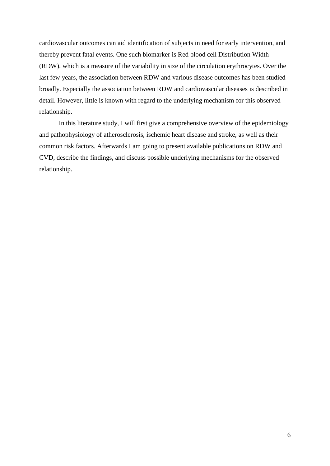cardiovascular outcomes can aid identification of subjects in need for early intervention, and thereby prevent fatal events. One such biomarker is Red blood cell Distribution Width (RDW), which is a measure of the variability in size of the circulation erythrocytes. Over the last few years, the association between RDW and various disease outcomes has been studied broadly. Especially the association between RDW and cardiovascular diseases is described in detail. However, little is known with regard to the underlying mechanism for this observed relationship.

In this literature study, I will first give a comprehensive overview of the epidemiology and pathophysiology of atherosclerosis, ischemic heart disease and stroke, as well as their common risk factors. Afterwards I am going to present available publications on RDW and CVD, describe the findings, and discuss possible underlying mechanisms for the observed relationship.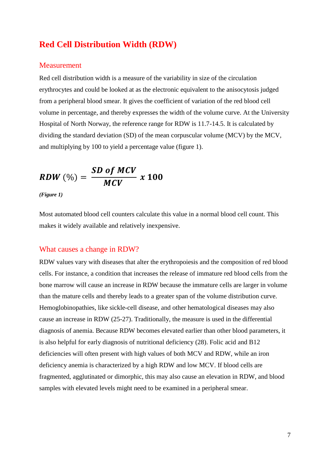## <span id="page-6-0"></span>**Red Cell Distribution Width (RDW)**

#### <span id="page-6-1"></span>Measurement

Red cell distribution width is a measure of the variability in size of the circulation erythrocytes and could be looked at as the electronic equivalent to the anisocytosis judged from a peripheral blood smear. It gives the coefficient of variation of the red blood cell volume in percentage, and thereby expresses the width of the volume curve. At the University Hospital of North Norway, the reference range for RDW is 11.7-14.5. It is calculated by dividing the standard deviation (SD) of the mean corpuscular volume (MCV) by the MCV, and multiplying by 100 to yield a percentage value (figure 1).

$$
RDW\ (\%) = \frac{SD\ of\ MCV}{MCV} \ x\ 100
$$

*(Figure 1)*

Most automated blood cell counters calculate this value in a normal blood cell count. This makes it widely available and relatively inexpensive.

#### <span id="page-6-2"></span>What causes a change in RDW?

RDW values vary with diseases that alter the erythropoiesis and the composition of red blood cells. For instance, a condition that increases the release of immature red blood cells from the bone marrow will cause an increase in RDW because the immature cells are larger in volume than the mature cells and thereby leads to a greater span of the volume distribution curve. Hemoglobinopathies, like sickle-cell disease, and other hematological diseases may also cause an increase in RDW (25-27). Traditionally, the measure is used in the differential diagnosis of anemia. Because RDW becomes elevated earlier than other blood parameters, it is also helpful for early diagnosis of nutritional deficiency (28). Folic acid and B12 deficiencies will often present with high values of both MCV and RDW, while an iron deficiency anemia is characterized by a high RDW and low MCV. If blood cells are fragmented, agglutinated or dimorphic, this may also cause an elevation in RDW, and blood samples with elevated levels might need to be examined in a peripheral smear.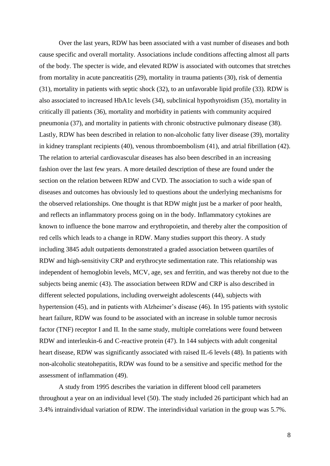Over the last years, RDW has been associated with a vast number of diseases and both cause specific and overall mortality. Associations include conditions affecting almost all parts of the body. The specter is wide, and elevated RDW is associated with outcomes that stretches from mortality in acute pancreatitis (29), mortality in trauma patients (30), risk of dementia (31), mortality in patients with septic shock (32), to an unfavorable lipid profile (33). RDW is also associated to increased HbA1c levels (34), subclinical hypothyroidism (35), mortality in critically ill patients (36), mortality and morbidity in patients with community acquired pneumonia (37), and mortality in patients with chronic obstructive pulmonary disease (38). Lastly, RDW has been described in relation to non-alcoholic fatty liver disease (39), mortality in kidney transplant recipients (40), venous thromboembolism (41), and atrial fibrillation (42). The relation to arterial cardiovascular diseases has also been described in an increasing fashion over the last few years. A more detailed description of these are found under the section on the relation between RDW and CVD. The association to such a wide span of diseases and outcomes has obviously led to questions about the underlying mechanisms for the observed relationships. One thought is that RDW might just be a marker of poor health, and reflects an inflammatory process going on in the body. Inflammatory cytokines are known to influence the bone marrow and erythropoietin, and thereby alter the composition of red cells which leads to a change in RDW. Many studies support this theory. A study including 3845 adult outpatients demonstrated a graded association between quartiles of RDW and high-sensitivity CRP and erythrocyte sedimentation rate. This relationship was independent of hemoglobin levels, MCV, age, sex and ferritin, and was thereby not due to the subjects being anemic (43). The association between RDW and CRP is also described in different selected populations, including overweight adolescents (44), subjects with hypertension (45), and in patients with Alzheimer's disease (46). In 195 patients with systolic heart failure, RDW was found to be associated with an increase in soluble tumor necrosis factor (TNF) receptor I and II. In the same study, multiple correlations were found between RDW and interleukin-6 and C-reactive protein (47). In 144 subjects with adult congenital heart disease, RDW was significantly associated with raised IL-6 levels (48). In patients with non-alcoholic steatohepatitis, RDW was found to be a sensitive and specific method for the assessment of inflammation (49).

A study from 1995 describes the variation in different blood cell parameters throughout a year on an individual level (50). The study included 26 participant which had an 3.4% intraindividual variation of RDW. The interindividual variation in the group was 5.7%.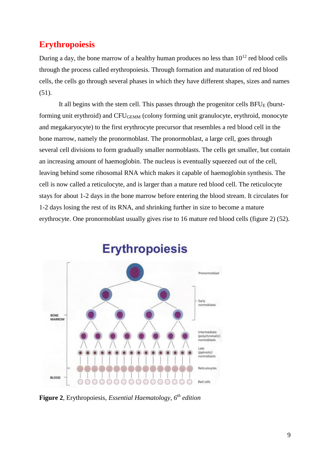## <span id="page-8-0"></span>**Erythropoiesis**

During a day, the bone marrow of a healthy human produces no less than  $10^{12}$  red blood cells through the process called erythropoiesis. Through formation and maturation of red blood cells, the cells go through several phases in which they have different shapes, sizes and names  $(51).$ 

It all begins with the stem cell. This passes through the progenitor cells  $BFU<sub>E</sub>$  (burstforming unit erythroid) and CFUGEMM (colony forming unit granulocyte, erythroid, monocyte and megakaryocyte) to the first erythrocyte precursor that resembles a red blood cell in the bone marrow, namely the pronormoblast. The pronormoblast, a large cell, goes through several cell divisions to form gradually smaller normoblasts. The cells get smaller, but contain an increasing amount of haemoglobin. The nucleus is eventually squeezed out of the cell, leaving behind some ribosomal RNA which makes it capable of haemoglobin synthesis. The cell is now called a reticulocyte, and is larger than a mature red blood cell. The reticulocyte stays for about 1-2 days in the bone marrow before entering the blood stream. It circulates for 1-2 days losing the rest of its RNA, and shrinking further in size to become a mature erythrocyte. One pronormoblast usually gives rise to 16 mature red blood cells (figure 2) (52).



**Erythropoiesis** 

**Figure 2***,* Erythropoiesis*, Essential Haematology, 6th edition*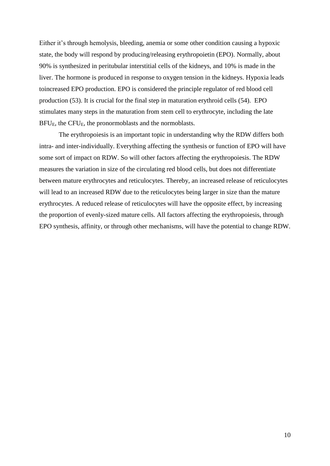Either it's through hemolysis, bleeding, anemia or some other condition causing a hypoxic state, the body will respond by producing/releasing erythropoietin (EPO). Normally, about 90% is synthesized in peritubular interstitial cells of the kidneys, and 10% is made in the liver. The hormone is produced in response to oxygen tension in the kidneys. Hypoxia leads toincreased EPO production. EPO is considered the principle regulator of red blood cell production (53). It is crucial for the final step in maturation erythroid cells (54). EPO stimulates many steps in the maturation from stem cell to erythrocyte, including the late BFUE, the CFUE, the pronormoblasts and the normoblasts.

The erythropoiesis is an important topic in understanding why the RDW differs both intra- and inter-individually. Everything affecting the synthesis or function of EPO will have some sort of impact on RDW. So will other factors affecting the erythropoiesis. The RDW measures the variation in size of the circulating red blood cells, but does not differentiate between mature erythrocytes and reticulocytes. Thereby, an increased release of reticulocytes will lead to an increased RDW due to the reticulocytes being larger in size than the mature erythrocytes. A reduced release of reticulocytes will have the opposite effect, by increasing the proportion of evenly-sized mature cells. All factors affecting the erythropoiesis, through EPO synthesis, affinity, or through other mechanisms, will have the potential to change RDW.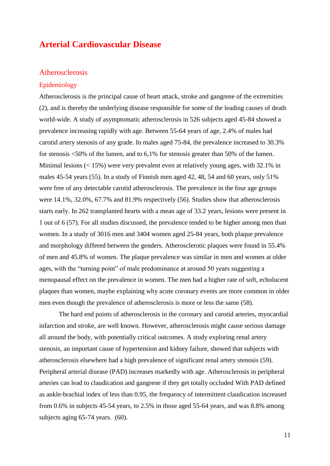## <span id="page-10-0"></span>**Arterial Cardiovascular Disease**

#### <span id="page-10-1"></span>Atherosclerosis

#### <span id="page-10-2"></span>Epidemiology

Atherosclerosis is the principal cause of heart attack, stroke and gangrene of the extremities (2), and is thereby the underlying disease responsible for some of the leading causes of death world-wide. A study of asymptomatic atherosclerosis in 526 subjects aged 45-84 showed a prevalence increasing rapidly with age. Between 55-64 years of age, 2.4% of males had carotid artery stenosis of any grade. In males aged 75-84, the prevalence increased to 30.3% for stenosis <50% of the lumen, and to 6,1% for stenosis greater than 50% of the lumen. Minimal lesions (< 15%) were very prevalent even at relatively young ages, with 32.1% in males 45-54 years (55). In a study of Finnish men aged 42, 48, 54 and 60 years, only 51% were free of any detectable carotid atherosclerosis. The prevalence in the four age groups were 14.1%, 32.0%, 67.7% and 81.9% respectively (56). Studies show that atherosclerosis starts early. In 262 transplanted hearts with a mean age of 33.2 years, lesions were present in 1 out of 6 (57). For all studies discussed, the prevalence tended to be higher among men than women. In a study of 3016 men and 3404 women aged 25-84 years, both plaque prevalence and morphology differed between the genders. Atherosclerotic plaques were found in 55.4% of men and 45.8% of women. The plaque prevalence was similar in men and women at older ages, with the "turning point" of male predominance at around 50 years suggesting a menopausal effect on the prevalence in women. The men had a higher rate of soft, echolucent plaques than women, maybe explaining why acute coronary events are more common in older men even though the prevalence of atherosclerosis is more or less the same (58).

The hard end points of atherosclerosis in the coronary and carotid arteries, myocardial infarction and stroke, are well known. However, atherosclerosis might cause serious damage all around the body, with potentially critical outcomes. A study exploring renal artery stenosis, an important cause of hypertension and kidney failure, showed that subjects with atherosclerosis elsewhere had a high prevalence of significant renal artery stenosis (59). Peripheral arterial disease (PAD) increases markedly with age. Atherosclerosis in peripheral arteries can lead to claudication and gangrene if they get totally occluded With PAD defined as ankle-brachial index of less than 0.95, the frequency of intermittent claudication increased from 0.6% in subjects 45-54 years, to 2.5% in those aged 55-64 years, and was 8.8% among subjects aging 65-74 years. (60).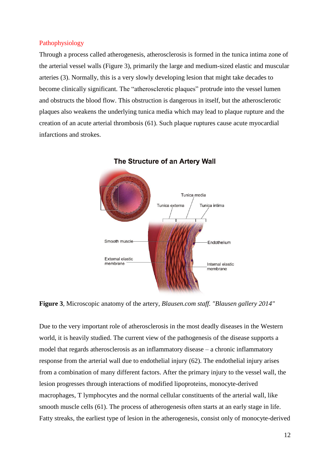#### <span id="page-11-0"></span>Pathophysiology

Through a process called atherogenesis, atherosclerosis is formed in the tunica intima zone of the arterial vessel walls (Figure 3), primarily the large and medium-sized elastic and muscular arteries (3). Normally, this is a very slowly developing lesion that might take decades to become clinically significant. The "atherosclerotic plaques" protrude into the vessel lumen and obstructs the blood flow. This obstruction is dangerous in itself, but the atherosclerotic plaques also weakens the underlying tunica media which may lead to plaque rupture and the creation of an acute arterial thrombosis (61). Such plaque ruptures cause acute myocardial infarctions and strokes.



The Structure of an Artery Wall

**Figure 3***,* Microscopic anatomy of the artery*, Blausen.com staff. ["Blausen gallery 2014"](https://en.wikiversity.org/wiki/Blausen_gallery_2014)*

Due to the very important role of atherosclerosis in the most deadly diseases in the Western world, it is heavily studied. The current view of the pathogenesis of the disease supports a model that regards atherosclerosis as an inflammatory disease – a chronic inflammatory response from the arterial wall due to endothelial injury (62). The endothelial injury arises from a combination of many different factors. After the primary injury to the vessel wall, the lesion progresses through interactions of modified lipoproteins, monocyte-derived macrophages, T lymphocytes and the normal cellular constituents of the arterial wall, like smooth muscle cells (61). The process of atherogenesis often starts at an early stage in life. Fatty streaks, the earliest type of lesion in the atherogenesis, consist only of monocyte-derived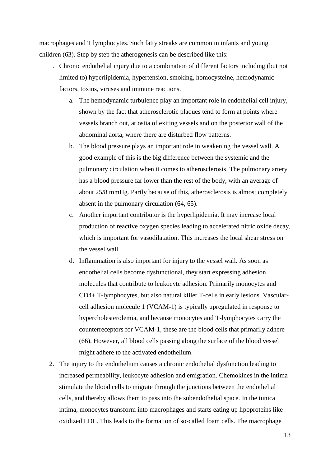macrophages and T lymphocytes. Such fatty streaks are common in infants and young children (63). Step by step the atherogenesis can be described like this:

- 1. Chronic endothelial injury due to a combination of different factors including (but not limited to) hyperlipidemia, hypertension, smoking, homocysteine, hemodynamic factors, toxins, viruses and immune reactions.
	- a. The hemodynamic turbulence play an important role in endothelial cell injury, shown by the fact that atherosclerotic plaques tend to form at points where vessels branch out, at ostia of exiting vessels and on the posterior wall of the abdominal aorta, where there are disturbed flow patterns.
	- b. The blood pressure plays an important role in weakening the vessel wall. A good example of this is the big difference between the systemic and the pulmonary circulation when it comes to atherosclerosis. The pulmonary artery has a blood pressure far lower than the rest of the body, with an average of about 25/8 mmHg. Partly because of this, atherosclerosis is almost completely absent in the pulmonary circulation (64, 65).
	- c. Another important contributor is the hyperlipidemia. It may increase local production of reactive oxygen species leading to accelerated nitric oxide decay, which is important for vasodilatation. This increases the local shear stress on the vessel wall.
	- d. Inflammation is also important for injury to the vessel wall. As soon as endothelial cells become dysfunctional, they start expressing adhesion molecules that contribute to leukocyte adhesion. Primarily monocytes and CD4+ T-lymphocytes, but also natural killer T-cells in early lesions. Vascularcell adhesion molecule 1 (VCAM-1) is typically upregulated in response to hypercholesterolemia, and because monocytes and T-lymphocytes carry the counterreceptors for VCAM-1, these are the blood cells that primarily adhere (66). However, all blood cells passing along the surface of the blood vessel might adhere to the activated endothelium.
- 2. The injury to the endothelium causes a chronic endothelial dysfunction leading to increased permeability, leukocyte adhesion and emigration. Chemokines in the intima stimulate the blood cells to migrate through the junctions between the endothelial cells, and thereby allows them to pass into the subendothelial space. In the tunica intima, monocytes transform into macrophages and starts eating up lipoproteins like oxidized LDL. This leads to the formation of so-called foam cells. The macrophage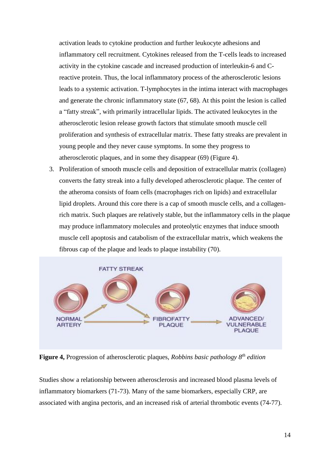activation leads to cytokine production and further leukocyte adhesions and inflammatory cell recruitment. Cytokines released from the T-cells leads to increased activity in the cytokine cascade and increased production of interleukin-6 and Creactive protein. Thus, the local inflammatory process of the atherosclerotic lesions leads to a systemic activation. T-lymphocytes in the intima interact with macrophages and generate the chronic inflammatory state (67, 68). At this point the lesion is called a "fatty streak", with primarily intracellular lipids. The activated leukocytes in the atherosclerotic lesion release growth factors that stimulate smooth muscle cell proliferation and synthesis of extracellular matrix. These fatty streaks are prevalent in young people and they never cause symptoms. In some they progress to atherosclerotic plaques, and in some they disappear (69) (Figure 4).

3. Proliferation of smooth muscle cells and deposition of extracellular matrix (collagen) converts the fatty streak into a fully developed atherosclerotic plaque. The center of the atheroma consists of foam cells (macrophages rich on lipids) and extracellular lipid droplets. Around this core there is a cap of smooth muscle cells, and a collagenrich matrix. Such plaques are relatively stable, but the inflammatory cells in the plaque may produce inflammatory molecules and proteolytic enzymes that induce smooth muscle cell apoptosis and catabolism of the extracellular matrix, which weakens the fibrous cap of the plaque and leads to plaque instability (70).



**Figure 4,** Progression of atherosclerotic plaques, *Robbins basic pathology 8th edition*

Studies show a relationship between atherosclerosis and increased blood plasma levels of inflammatory biomarkers (71-73). Many of the same biomarkers, especially CRP, are associated with angina pectoris, and an increased risk of arterial thrombotic events (74-77).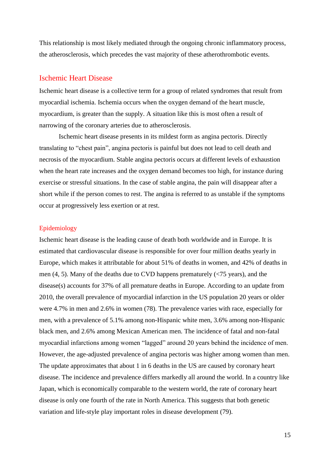This relationship is most likely mediated through the ongoing chronic inflammatory process, the atherosclerosis, which precedes the vast majority of these atherothrombotic events.

#### <span id="page-14-0"></span>Ischemic Heart Disease

Ischemic heart disease is a collective term for a group of related syndromes that result from myocardial ischemia. Ischemia occurs when the oxygen demand of the heart muscle, myocardium, is greater than the supply. A situation like this is most often a result of narrowing of the coronary arteries due to atherosclerosis.

Ischemic heart disease presents in its mildest form as angina pectoris. Directly translating to "chest pain", angina pectoris is painful but does not lead to cell death and necrosis of the myocardium. Stable angina pectoris occurs at different levels of exhaustion when the heart rate increases and the oxygen demand becomes too high, for instance during exercise or stressful situations. In the case of stable angina, the pain will disappear after a short while if the person comes to rest. The angina is referred to as unstable if the symptoms occur at progressively less exertion or at rest.

#### <span id="page-14-1"></span>Epidemiology

Ischemic heart disease is the leading cause of death both worldwide and in Europe. It is estimated that cardiovascular disease is responsible for over four million deaths yearly in Europe, which makes it attributable for about 51% of deaths in women, and 42% of deaths in men (4, 5). Many of the deaths due to CVD happens prematurely (<75 years), and the disease(s) accounts for 37% of all premature deaths in Europe. According to an update from 2010, the overall prevalence of myocardial infarction in the US population 20 years or older were 4.7% in men and 2.6% in women (78). The prevalence varies with race, especially for men, with a prevalence of 5.1% among non-Hispanic white men, 3.6% among non-Hispanic black men, and 2.6% among Mexican American men. The incidence of fatal and non-fatal myocardial infarctions among women "lagged" around 20 years behind the incidence of men. However, the age-adjusted prevalence of angina pectoris was higher among women than men. The update approximates that about 1 in 6 deaths in the US are caused by coronary heart disease. The incidence and prevalence differs markedly all around the world. In a country like Japan, which is economically comparable to the western world, the rate of coronary heart disease is only one fourth of the rate in North America. This suggests that both genetic variation and life-style play important roles in disease development (79).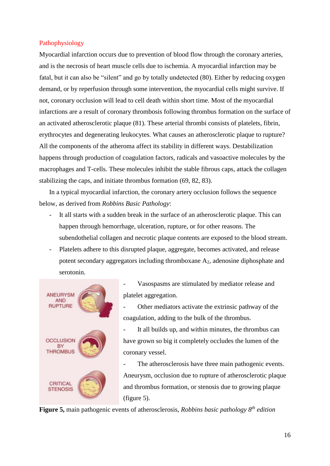#### <span id="page-15-0"></span>Pathophysiology

Myocardial infarction occurs due to prevention of blood flow through the coronary arteries, and is the necrosis of heart muscle cells due to ischemia. A myocardial infarction may be fatal, but it can also be "silent" and go by totally undetected (80). Either by reducing oxygen demand, or by reperfusion through some intervention, the myocardial cells might survive. If not, coronary occlusion will lead to cell death within short time. Most of the myocardial infarctions are a result of coronary thrombosis following thrombus formation on the surface of an activated atherosclerotic plaque (81). These arterial thrombi consists of platelets, fibrin, erythrocytes and degenerating leukocytes. What causes an atherosclerotic plaque to rupture? All the components of the atheroma affect its stability in different ways. Destabilization happens through production of coagulation factors, radicals and vasoactive molecules by the macrophages and T-cells. These molecules inhibit the stable fibrous caps, attack the collagen stabilizing the caps, and initiate thrombus formation (69, 82, 83).

In a typical myocardial infarction, the coronary artery occlusion follows the sequence below, as derived from *Robbins Basic Pathology*:

- It all starts with a sudden break in the surface of an atherosclerotic plaque. This can happen through hemorrhage, ulceration, rupture, or for other reasons. The subendothelial collagen and necrotic plaque contents are exposed to the blood stream.
- Platelets adhere to this disrupted plaque, aggregate, becomes activated, and release potent secondary aggregators including thromboxane A2, adenosine diphosphate and serotonin.



Vasospasms are stimulated by mediator release and platelet aggregation.

Other mediators activate the extrinsic pathway of the coagulation, adding to the bulk of the thrombus.

- It all builds up, and within minutes, the thrombus can have grown so big it completely occludes the lumen of the coronary vessel.

The atherosclerosis have three main pathogenic events. Aneurysm, occlusion due to rupture of atherosclerotic plaque and thrombus formation, or stenosis due to growing plaque (figure 5).

**Figure 5,** main pathogenic events of atherosclerosis, *Robbins basic pathology 8th edition*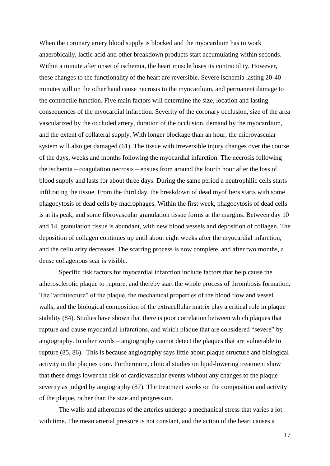When the coronary artery blood supply is blocked and the myocardium has to work anaerobically, lactic acid and other breakdown products start accumulating within seconds. Within a minute after onset of ischemia, the heart muscle loses its contractility. However, these changes to the functionality of the heart are reversible. Severe ischemia lasting 20-40 minutes will on the other hand cause necrosis to the myocardium, and permanent damage to the contractile function. Five main factors will determine the size, location and lasting consequences of the myocardial infarction. Severity of the coronary occlusion, size of the area vascularized by the occluded artery, duration of the occlusion, demand by the myocardium, and the extent of collateral supply. With longer blockage than an hour, the microvascular system will also get damaged (61). The tissue with irreversible injury changes over the course of the days, weeks and months following the myocardial infarction. The necrosis following the ischemia – coagulation necrosis – ensues from around the fourth hour after the loss of blood supply and lasts for about three days. During the same period a neutrophilic cells starts infiltrating the tissue. From the third day, the breakdown of dead myofibers starts with some phagocytosis of dead cells by macrophages. Within the first week, phagocytosis of dead cells is at its peak, and some fibrovascular granulation tissue forms at the margins. Between day 10 and 14, granulation tissue is abundant, with new blood vessels and deposition of collagen. The deposition of collagen continues up until about eight weeks after the myocardial infarction, and the cellularity decreases. The scarring process is now complete, and after two months, a dense collagenous scar is visible.

Specific risk factors for myocardial infarction include factors that help cause the atherosclerotic plaque to rupture, and thereby start the whole process of thrombosis formation. The "architecture" of the plaque, the mechanical properties of the blood flow and vessel walls, and the biological composition of the extracellular matrix play a critical role in plaque stability (84). Studies have shown that there is poor correlation between which plaques that rupture and cause myocardial infarctions, and which plaque that are considered "severe" by angiography. In other words – angiography cannot detect the plaques that are vulnerable to rupture (85, 86). This is because angiography says little about plaque structure and biological activity in the plaques core. Furthermore, clinical studies on lipid-lowering treatment show that these drugs lower the risk of cardiovascular events without any changes to the plaque severity as judged by angiography (87). The treatment works on the composition and activity of the plaque, rather than the size and progression.

The walls and atheromas of the arteries undergo a mechanical stress that varies a lot with time. The mean arterial pressure is not constant, and the action of the heart causes a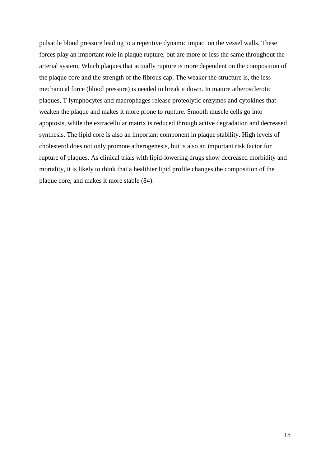pulsatile blood pressure leading to a repetitive dynamic impact on the vessel walls. These forces play an important role in plaque rupture, but are more or less the same throughout the arterial system. Which plaques that actually rupture is more dependent on the composition of the plaque core and the strength of the fibrous cap. The weaker the structure is, the less mechanical force (blood pressure) is needed to break it down. In mature atherosclerotic plaques, T lymphocytes and macrophages release proteolytic enzymes and cytokines that weaken the plaque and makes it more prone to rupture. Smooth muscle cells go into apoptosis, while the extracellular matrix is reduced through active degradation and decreased synthesis. The lipid core is also an important component in plaque stability. High levels of cholesterol does not only promote atherogenesis, but is also an important risk factor for rupture of plaques. As clinical trials with lipid-lowering drugs show decreased morbidity and mortality, it is likely to think that a healthier lipid profile changes the composition of the plaque core, and makes it more stable (84).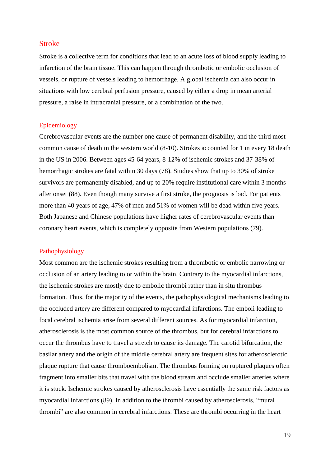#### <span id="page-18-0"></span>Stroke

Stroke is a collective term for conditions that lead to an acute loss of blood supply leading to infarction of the brain tissue. This can happen through thrombotic or embolic occlusion of vessels, or rupture of vessels leading to hemorrhage. A global ischemia can also occur in situations with low cerebral perfusion pressure, caused by either a drop in mean arterial pressure, a raise in intracranial pressure, or a combination of the two.

#### <span id="page-18-1"></span>Epidemiology

Cerebrovascular events are the number one cause of permanent disability, and the third most common cause of death in the western world (8-10). Strokes accounted for 1 in every 18 death in the US in 2006. Between ages 45-64 years, 8-12% of ischemic strokes and 37-38% of hemorrhagic strokes are fatal within 30 days (78). Studies show that up to 30% of stroke survivors are permanently disabled, and up to 20% require institutional care within 3 months after onset (88). Even though many survive a first stroke, the prognosis is bad. For patients more than 40 years of age, 47% of men and 51% of women will be dead within five years. Both Japanese and Chinese populations have higher rates of cerebrovascular events than coronary heart events, which is completely opposite from Western populations (79).

#### <span id="page-18-2"></span>Pathophysiology

Most common are the ischemic strokes resulting from a thrombotic or embolic narrowing or occlusion of an artery leading to or within the brain. Contrary to the myocardial infarctions, the ischemic strokes are mostly due to embolic thrombi rather than in situ thrombus formation. Thus, for the majority of the events, the pathophysiological mechanisms leading to the occluded artery are different compared to myocardial infarctions. The emboli leading to focal cerebral ischemia arise from several different sources. As for myocardial infarction, atherosclerosis is the most common source of the thrombus, but for cerebral infarctions to occur the thrombus have to travel a stretch to cause its damage. The carotid bifurcation, the basilar artery and the origin of the middle cerebral artery are frequent sites for atherosclerotic plaque rupture that cause thromboembolism. The thrombus forming on ruptured plaques often fragment into smaller bits that travel with the blood stream and occlude smaller arteries where it is stuck. Ischemic strokes caused by atherosclerosis have essentially the same risk factors as myocardial infarctions (89). In addition to the thrombi caused by atherosclerosis, "mural thrombi" are also common in cerebral infarctions. These are thrombi occurring in the heart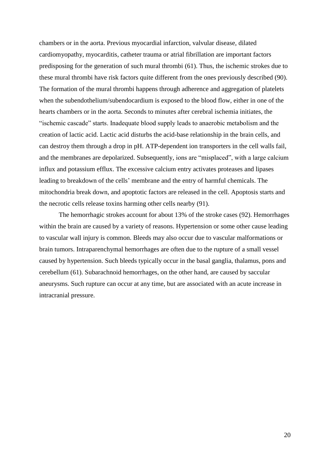chambers or in the aorta. Previous myocardial infarction, valvular disease, dilated cardiomyopathy, myocarditis, catheter trauma or atrial fibrillation are important factors predisposing for the generation of such mural thrombi (61). Thus, the ischemic strokes due to these mural thrombi have risk factors quite different from the ones previously described (90). The formation of the mural thrombi happens through adherence and aggregation of platelets when the subendothelium/subendocardium is exposed to the blood flow, either in one of the hearts chambers or in the aorta. Seconds to minutes after cerebral ischemia initiates, the "ischemic cascade" starts. Inadequate blood supply leads to anaerobic metabolism and the creation of lactic acid. Lactic acid disturbs the acid-base relationship in the brain cells, and can destroy them through a drop in pH. ATP-dependent ion transporters in the cell walls fail, and the membranes are depolarized. Subsequently, ions are "misplaced", with a large calcium influx and potassium efflux. The excessive calcium entry activates proteases and lipases leading to breakdown of the cells' membrane and the entry of harmful chemicals. The mitochondria break down, and apoptotic factors are released in the cell. Apoptosis starts and the necrotic cells release toxins harming other cells nearby (91).

The hemorrhagic strokes account for about 13% of the stroke cases (92). Hemorrhages within the brain are caused by a variety of reasons. Hypertension or some other cause leading to vascular wall injury is common. Bleeds may also occur due to vascular malformations or brain tumors. Intraparenchymal hemorrhages are often due to the rupture of a small vessel caused by hypertension. Such bleeds typically occur in the basal ganglia, thalamus, pons and cerebellum (61). Subarachnoid hemorrhages, on the other hand, are caused by saccular aneurysms. Such rupture can occur at any time, but are associated with an acute increase in intracranial pressure.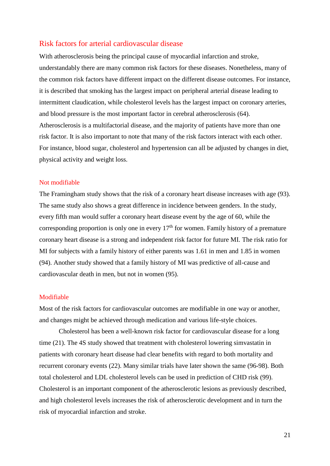#### <span id="page-20-0"></span>Risk factors for arterial cardiovascular disease

With atherosclerosis being the principal cause of myocardial infarction and stroke, understandably there are many common risk factors for these diseases. Nonetheless, many of the common risk factors have different impact on the different disease outcomes. For instance, it is described that smoking has the largest impact on peripheral arterial disease leading to intermittent claudication, while cholesterol levels has the largest impact on coronary arteries, and blood pressure is the most important factor in cerebral atherosclerosis (64). Atherosclerosis is a multifactorial disease, and the majority of patients have more than one risk factor. It is also important to note that many of the risk factors interact with each other. For instance, blood sugar, cholesterol and hypertension can all be adjusted by changes in diet, physical activity and weight loss.

#### <span id="page-20-1"></span>Not modifiable

The Framingham study shows that the risk of a coronary heart disease increases with age (93). The same study also shows a great difference in incidence between genders. In the study, every fifth man would suffer a coronary heart disease event by the age of 60, while the corresponding proportion is only one in every  $17<sup>th</sup>$  for women. Family history of a premature coronary heart disease is a strong and independent risk factor for future MI. The risk ratio for MI for subjects with a family history of either parents was 1.61 in men and 1.85 in women (94). Another study showed that a family history of MI was predictive of all-cause and cardiovascular death in men, but not in women (95).

#### <span id="page-20-2"></span>Modifiable

Most of the risk factors for cardiovascular outcomes are modifiable in one way or another, and changes might be achieved through medication and various life-style choices.

Cholesterol has been a well-known risk factor for cardiovascular disease for a long time (21). The 4S study showed that treatment with cholesterol lowering simvastatin in patients with coronary heart disease had clear benefits with regard to both mortality and recurrent coronary events (22). Many similar trials have later shown the same (96-98). Both total cholesterol and LDL cholesterol levels can be used in prediction of CHD risk (99). Cholesterol is an important component of the atherosclerotic lesions as previously described, and high cholesterol levels increases the risk of atherosclerotic development and in turn the risk of myocardial infarction and stroke.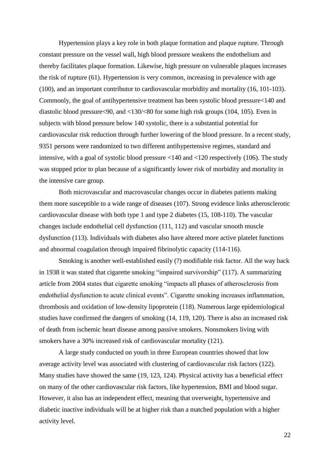Hypertension plays a key role in both plaque formation and plaque rupture. Through constant pressure on the vessel wall, high blood pressure weakens the endothelium and thereby facilitates plaque formation. Likewise, high pressure on vulnerable plaques increases the risk of rupture (61). Hypertension is very common, increasing in prevalence with age (100), and an important contributor to cardiovascular morbidity and mortality (16, 101-103). Commonly, the goal of antihypertensive treatment has been systolic blood pressure<140 and diastolic blood pressure<90, and <130/<80 for some high risk groups (104, 105). Even in subjects with blood pressure below 140 systolic, there is a substantial potential for cardiovascular risk reduction through further lowering of the blood pressure. In a recent study, 9351 persons were randomized to two different antihypertensive regimes, standard and intensive, with a goal of systolic blood pressure <140 and <120 respectively (106). The study was stopped prior to plan because of a significantly lower risk of morbidity and mortality in the intensive care group.

Both microvascular and macrovascular changes occur in diabetes patients making them more susceptible to a wide range of diseases (107). Strong evidence links atherosclerotic cardiovascular disease with both type 1 and type 2 diabetes (15, 108-110). The vascular changes include endothelial cell dysfunction (111, 112) and vascular smooth muscle dysfunction (113). Individuals with diabetes also have altered more active platelet functions and abnormal coagulation through impaired fibrinolytic capacity (114-116).

Smoking is another well-established easily (?) modifiable risk factor. All the way back in 1938 it was stated that cigarette smoking "impaired survivorship" (117). A summarizing article from 2004 states that cigarette smoking "impacts all phases of atherosclerosis from endothelial dysfunction to acute clinical events". Cigarette smoking increases inflammation, thrombosis and oxidation of low-density lipoprotein (118). Numerous large epidemiological studies have confirmed the dangers of smoking (14, 119, 120). There is also an increased risk of death from ischemic heart disease among passive smokers. Nonsmokers living with smokers have a 30% increased risk of cardiovascular mortality (121).

A large study conducted on youth in three European countries showed that low average activity level was associated with clustering of cardiovascular risk factors (122). Many studies have showed the same (19, 123, 124). Physical activity has a beneficial effect on many of the other cardiovascular risk factors, like hypertension, BMI and blood sugar. However, it also has an independent effect, meaning that overweight, hypertensive and diabetic inactive individuals will be at higher risk than a matched population with a higher activity level.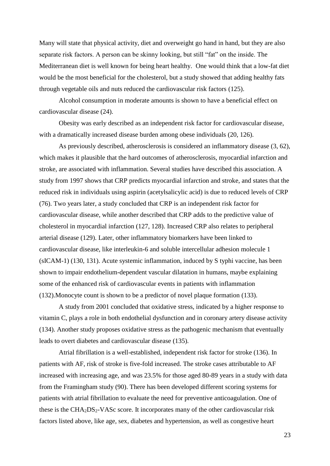Many will state that physical activity, diet and overweight go hand in hand, but they are also separate risk factors. A person can be skinny looking, but still "fat" on the inside. The Mediterranean diet is well known for being heart healthy. One would think that a low-fat diet would be the most beneficial for the cholesterol, but a study showed that adding healthy fats through vegetable oils and nuts reduced the cardiovascular risk factors (125).

Alcohol consumption in moderate amounts is shown to have a beneficial effect on cardiovascular disease (24).

Obesity was early described as an independent risk factor for cardiovascular disease, with a dramatically increased disease burden among obese individuals (20, 126).

As previously described, atherosclerosis is considered an inflammatory disease (3, 62), which makes it plausible that the hard outcomes of atherosclerosis, myocardial infarction and stroke, are associated with inflammation. Several studies have described this association. A study from 1997 shows that CRP predicts myocardial infarction and stroke, and states that the reduced risk in individuals using aspirin (acetylsalicylic acid) is due to reduced levels of CRP (76). Two years later, a study concluded that CRP is an independent risk factor for cardiovascular disease, while another described that CRP adds to the predictive value of cholesterol in myocardial infarction (127, 128). Increased CRP also relates to peripheral arterial disease (129). Later, other inflammatory biomarkers have been linked to cardiovascular disease, like interleukin-6 and soluble intercellular adhesion molecule 1 (sICAM-1) (130, 131). Acute systemic inflammation, induced by S typhi vaccine, has been shown to impair endothelium-dependent vascular dilatation in humans, maybe explaining some of the enhanced risk of cardiovascular events in patients with inflammation (132).Monocyte count is shown to be a predictor of novel plaque formation (133).

A study from 2001 concluded that oxidative stress, indicated by a higher response to vitamin C, plays a role in both endothelial dysfunction and in coronary artery disease activity (134). Another study proposes oxidative stress as the pathogenic mechanism that eventually leads to overt diabetes and cardiovascular disease (135).

Atrial fibrillation is a well-established, independent risk factor for stroke (136). In patients with AF, risk of stroke is five-fold increased. The stroke cases attributable to AF increased with increasing age, and was 23.5% for those aged 80-89 years in a study with data from the Framingham study (90). There has been developed different scoring systems for patients with atrial fibrillation to evaluate the need for preventive anticoagulation. One of these is the  $CHA<sub>2</sub>DS<sub>2</sub>-VASc$  score. It incorporates many of the other cardiovascular risk factors listed above, like age, sex, diabetes and hypertension, as well as congestive heart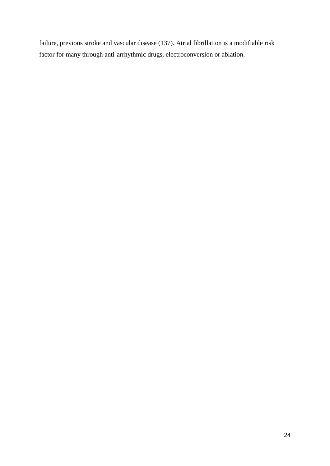failure, previous stroke and vascular disease (137). Atrial fibrillation is a modifiable risk factor for many through anti-arrhythmic drugs, electroconversion or ablation.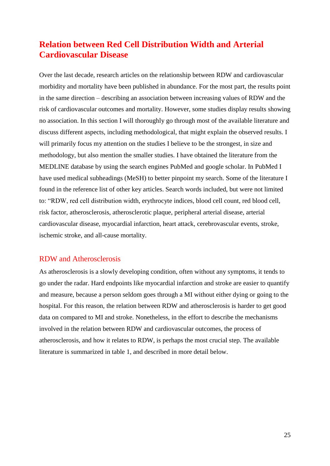## <span id="page-24-0"></span>**Relation between Red Cell Distribution Width and Arterial Cardiovascular Disease**

Over the last decade, research articles on the relationship between RDW and cardiovascular morbidity and mortality have been published in abundance. For the most part, the results point in the same direction – describing an association between increasing values of RDW and the risk of cardiovascular outcomes and mortality. However, some studies display results showing no association. In this section I will thoroughly go through most of the available literature and discuss different aspects, including methodological, that might explain the observed results. I will primarily focus my attention on the studies I believe to be the strongest, in size and methodology, but also mention the smaller studies. I have obtained the literature from the MEDLINE database by using the search engines PubMed and google scholar. In PubMed I have used medical subheadings (MeSH) to better pinpoint my search. Some of the literature I found in the reference list of other key articles. Search words included, but were not limited to: "RDW, red cell distribution width, erythrocyte indices, blood cell count, red blood cell, risk factor, atherosclerosis, atherosclerotic plaque, peripheral arterial disease, arterial cardiovascular disease, myocardial infarction, heart attack, cerebrovascular events, stroke, ischemic stroke, and all-cause mortality.

### <span id="page-24-1"></span>RDW and Atherosclerosis

As atherosclerosis is a slowly developing condition, often without any symptoms, it tends to go under the radar. Hard endpoints like myocardial infarction and stroke are easier to quantify and measure, because a person seldom goes through a MI without either dying or going to the hospital. For this reason, the relation between RDW and atherosclerosis is harder to get good data on compared to MI and stroke. Nonetheless, in the effort to describe the mechanisms involved in the relation between RDW and cardiovascular outcomes, the process of atherosclerosis, and how it relates to RDW, is perhaps the most crucial step. The available literature is summarized in table 1, and described in more detail below.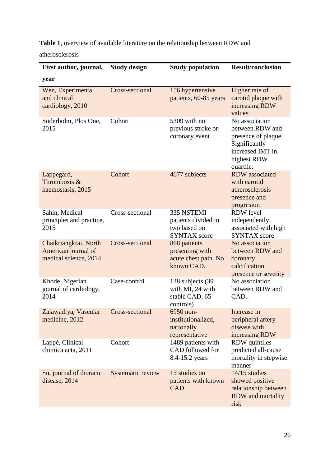**Table 1**, overview of available literature on the relationship between RDW and

atherosclerosis

| First author, journal,                                                | <b>Study design</b>      | <b>Study population</b>                                                  | <b>Result/conclusion</b>                                                                                                  |
|-----------------------------------------------------------------------|--------------------------|--------------------------------------------------------------------------|---------------------------------------------------------------------------------------------------------------------------|
| year                                                                  |                          |                                                                          |                                                                                                                           |
| Wen, Experimental<br>and clinical<br>cardiology, 2010                 | <b>Cross-sectional</b>   | 156 hypertensive<br>patients, 60-85 years                                | Higher rate of<br>carotid plaque with<br>increasing RDW<br>values                                                         |
| Söderholm, Plos One,<br>2015                                          | Cohort                   | 5309 with no<br>previous stroke or<br>coronary event                     | No association<br>between RDW and<br>presence of plaque.<br>Significantly<br>increased IMT in<br>highest RDW<br>quartile. |
| Lappegård,<br>Thrombosis &<br>haemostasis, 2015                       | Cohort                   | 4677 subjects                                                            | <b>RDW</b> associated<br>with carotid<br>atherosclerosis<br>presence and<br>progresion                                    |
| Sahin, Medical<br>principles and practice,<br>2015                    | Cross-sectional          | 335 NSTEMI<br>patients divided in<br>two based on<br><b>SYNTAX</b> score | <b>RDW</b> level<br>independently<br>associated with high<br><b>SYNTAX</b> score                                          |
| Chaikriangkrai, North<br>American journal of<br>medical science, 2014 | <b>Cross-sectional</b>   | 868 patients<br>presenting with<br>acute chest pain. No<br>known CAD.    | No association<br>between RDW and<br>coronary<br>calcification<br>presence or severity                                    |
| Khode, Nigerian<br>journal of cardiology,<br>2014                     | Case-control             | 128 subjects (39<br>with MI, 24 with<br>stable CAD, 65<br>controls)      | No association<br>between RDW and<br>CAD.                                                                                 |
| Zalawadiya, Vascular Cross-sectional<br>medicine, 2012                |                          | 6950 non-<br>institutionalized,<br>nationally<br>representative          | Increase in<br>peripheral artery<br>disease with<br>increasing RDW                                                        |
| Lappé, Clinical<br>chimica acta, 2011                                 | Cohort                   | 1489 patients with<br>CAD followed for<br>8.4-15.2 years                 | <b>RDW</b> quintiles<br>predicted all-cause<br>mortality in stepwise<br>manner                                            |
| Su, journal of thoracic<br>disease, 2014                              | <b>Systematic review</b> | 15 studies on<br>patients with known<br><b>CAD</b>                       | $14/15$ studies<br>showed positive<br>relationship between<br><b>RDW</b> and mortality<br>risk                            |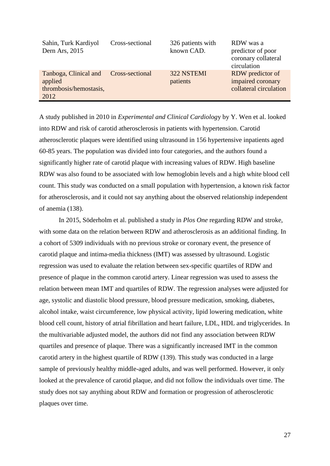| Sahin, Turk Kardiyol<br>Dern Ars, 2015                                             | Cross-sectional | 326 patients with<br>known CAD. | RDW was a<br>predictor of poor<br>coronary collateral<br>circulation |
|------------------------------------------------------------------------------------|-----------------|---------------------------------|----------------------------------------------------------------------|
| Tanboga, Clinical and Cross-sectional<br>applied<br>thrombosis/hemostasis,<br>2012 |                 | 322 NSTEMI<br>patients          | RDW predictor of<br>impaired coronary<br>collateral circulation      |

A study published in 2010 in *Experimental and Clinical Cardiolog*y by Y. Wen et al. looked into RDW and risk of carotid atherosclerosis in patients with hypertension. Carotid atherosclerotic plaques were identified using ultrasound in 156 hypertensive inpatients aged 60-85 years. The population was divided into four categories, and the authors found a significantly higher rate of carotid plaque with increasing values of RDW. High baseline RDW was also found to be associated with low hemoglobin levels and a high white blood cell count. This study was conducted on a small population with hypertension, a known risk factor for atherosclerosis, and it could not say anything about the observed relationship independent of anemia (138).

In 2015, Söderholm et al. published a study in *Plos One* regarding RDW and stroke, with some data on the relation between RDW and atherosclerosis as an additional finding. In a cohort of 5309 individuals with no previous stroke or coronary event, the presence of carotid plaque and intima-media thickness (IMT) was assessed by ultrasound. Logistic regression was used to evaluate the relation between sex-specific quartiles of RDW and presence of plaque in the common carotid artery. Linear regression was used to assess the relation between mean IMT and quartiles of RDW. The regression analyses were adjusted for age, systolic and diastolic blood pressure, blood pressure medication, smoking, diabetes, alcohol intake, waist circumference, low physical activity, lipid lowering medication, white blood cell count, history of atrial fibrillation and heart failure, LDL, HDL and triglycerides. In the multivariable adjusted model, the authors did not find any association between RDW quartiles and presence of plaque. There was a significantly increased IMT in the common carotid artery in the highest quartile of RDW (139). This study was conducted in a large sample of previously healthy middle-aged adults, and was well performed. However, it only looked at the prevalence of carotid plaque, and did not follow the individuals over time. The study does not say anything about RDW and formation or progression of atherosclerotic plaques over time.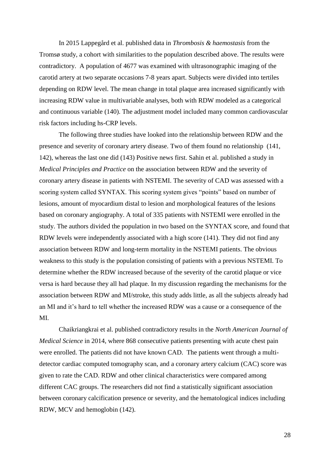In 2015 Lappegård et al. published data in *Thrombosis & haemostasis* from the Tromsø study, a cohort with similarities to the population described above. The results were contradictory. A population of 4677 was examined with ultrasonographic imaging of the carotid artery at two separate occasions 7-8 years apart. Subjects were divided into tertiles depending on RDW level. The mean change in total plaque area increased significantly with increasing RDW value in multivariable analyses, both with RDW modeled as a categorical and continuous variable (140). The adjustment model included many common cardiovascular risk factors including hs-CRP levels.

The following three studies have looked into the relationship between RDW and the presence and severity of coronary artery disease. Two of them found no relationship (141, 142), whereas the last one did (143) Positive news first. Sahin et al. published a study in *Medical Principles and Practice* on the association between RDW and the severity of coronary artery disease in patients with NSTEMI. The severity of CAD was assessed with a scoring system called SYNTAX. This scoring system gives "points" based on number of lesions, amount of myocardium distal to lesion and morphological features of the lesions based on coronary angiography. A total of 335 patients with NSTEMI were enrolled in the study. The authors divided the population in two based on the SYNTAX score, and found that RDW levels were independently associated with a high score (141). They did not find any association between RDW and long-term mortality in the NSTEMI patients. The obvious weakness to this study is the population consisting of patients with a previous NSTEMI. To determine whether the RDW increased because of the severity of the carotid plaque or vice versa is hard because they all had plaque. In my discussion regarding the mechanisms for the association between RDW and MI/stroke, this study adds little, as all the subjects already had an MI and it's hard to tell whether the increased RDW was a cause or a consequence of the MI.

Chaikriangkrai et al. published contradictory results in the *North American Journal of Medical Science* in 2014, where 868 consecutive patients presenting with acute chest pain were enrolled. The patients did not have known CAD. The patients went through a multidetector cardiac computed tomography scan, and a coronary artery calcium (CAC) score was given to rate the CAD. RDW and other clinical characteristics were compared among different CAC groups. The researchers did not find a statistically significant association between coronary calcification presence or severity, and the hematological indices including RDW, MCV and hemoglobin (142).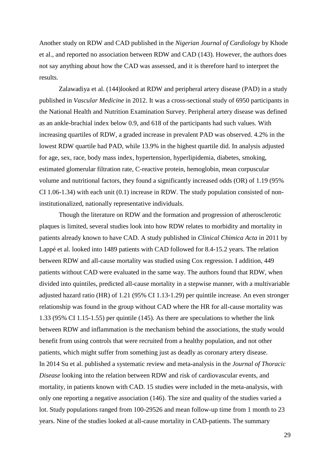Another study on RDW and CAD published in the *Nigerian Journal of Cardiology* by Khode et al., and reported no association between RDW and CAD (143). However, the authors does not say anything about how the CAD was assessed, and it is therefore hard to interpret the results.

Zalawadiya et al. (144)looked at RDW and peripheral artery disease (PAD) in a study published in *Vascular Medicine* in 2012. It was a cross-sectional study of 6950 participants in the National Health and Nutrition Examination Survey. Peripheral artery disease was defined as an ankle-brachial index below 0.9, and 618 of the participants had such values. With increasing quartiles of RDW, a graded increase in prevalent PAD was observed. 4.2% in the lowest RDW quartile had PAD, while 13.9% in the highest quartile did. In analysis adjusted for age, sex, race, body mass index, hypertension, hyperlipidemia, diabetes, smoking, estimated glomerular filtration rate, C-reactive protein, hemoglobin, mean corpuscular volume and nutritional factors, they found a significantly increased odds (OR) of 1.19 (95% CI 1.06-1.34) with each unit (0.1) increase in RDW. The study population consisted of noninstitutionalized, nationally representative individuals.

Though the literature on RDW and the formation and progression of atherosclerotic plaques is limited, several studies look into how RDW relates to morbidity and mortality in patients already known to have CAD. A study published in *Clinical Chimica Acta* in 2011 by Lappé et al. looked into 1489 patients with CAD followed for 8.4-15.2 years. The relation between RDW and all-cause mortality was studied using Cox regression. I addition, 449 patients without CAD were evaluated in the same way. The authors found that RDW, when divided into quintiles, predicted all-cause mortality in a stepwise manner, with a multivariable adjusted hazard ratio (HR) of 1.21 (95% CI 1.13-1.29) per quintile increase. An even stronger relationship was found in the group without CAD where the HR for all-cause mortality was 1.33 (95% CI 1.15-1.55) per quintile (145). As there are speculations to whether the link between RDW and inflammation is the mechanism behind the associations, the study would benefit from using controls that were recruited from a healthy population, and not other patients, which might suffer from something just as deadly as coronary artery disease. In 2014 Su et al. published a systematic review and meta-analysis in the *Journal of Thoracic Disease* looking into the relation between RDW and risk of cardiovascular events, and mortality, in patients known with CAD. 15 studies were included in the meta-analysis, with only one reporting a negative association (146). The size and quality of the studies varied a lot. Study populations ranged from 100-29526 and mean follow-up time from 1 month to 23 years. Nine of the studies looked at all-cause mortality in CAD-patients. The summary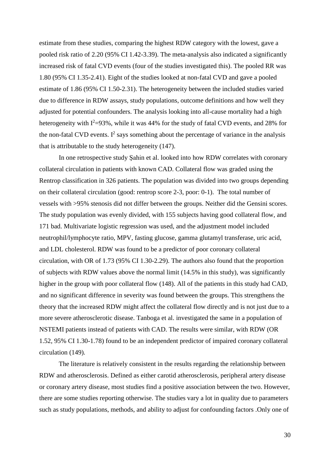estimate from these studies, comparing the highest RDW category with the lowest, gave a pooled risk ratio of 2.20 (95% CI 1.42-3.39). The meta-analysis also indicated a significantly increased risk of fatal CVD events (four of the studies investigated this). The pooled RR was 1.80 (95% CI 1.35-2.41). Eight of the studies looked at non-fatal CVD and gave a pooled estimate of 1.86 (95% CI 1.50-2.31). The heterogeneity between the included studies varied due to difference in RDW assays, study populations, outcome definitions and how well they adjusted for potential confounders. The analysis looking into all-cause mortality had a high heterogeneity with  $I^2=93\%$ , while it was 44% for the study of fatal CVD events, and 28% for the non-fatal CVD events.  $I^2$  says something about the percentage of variance in the analysis that is attributable to the study heterogeneity (147).

In one retrospective study Şahin et al. looked into how RDW correlates with coronary collateral circulation in patients with known CAD. Collateral flow was graded using the Rentrop classification in 326 patients. The population was divided into two groups depending on their collateral circulation (good: rentrop score 2-3, poor: 0-1). The total number of vessels with >95% stenosis did not differ between the groups. Neither did the Gensini scores. The study population was evenly divided, with 155 subjects having good collateral flow, and 171 bad. Multivariate logistic regression was used, and the adjustment model included neutrophil/lymphocyte ratio, MPV, fasting glucose, gamma glutamyl transferase, uric acid, and LDL cholesterol. RDW was found to be a predictor of poor coronary collateral circulation, with OR of 1.73 (95% CI 1.30-2.29). The authors also found that the proportion of subjects with RDW values above the normal limit (14.5% in this study), was significantly higher in the group with poor collateral flow (148). All of the patients in this study had CAD, and no significant difference in severity was found between the groups. This strengthens the theory that the increased RDW might affect the collateral flow directly and is not just due to a more severe atherosclerotic disease. Tanboga et al. investigated the same in a population of NSTEMI patients instead of patients with CAD. The results were similar, with RDW (OR 1.52, 95% CI 1.30-1.78) found to be an independent predictor of impaired coronary collateral circulation (149).

The literature is relatively consistent in the results regarding the relationship between RDW and atherosclerosis. Defined as either carotid atherosclerosis, peripheral artery disease or coronary artery disease, most studies find a positive association between the two. However, there are some studies reporting otherwise. The studies vary a lot in quality due to parameters such as study populations, methods, and ability to adjust for confounding factors .Only one of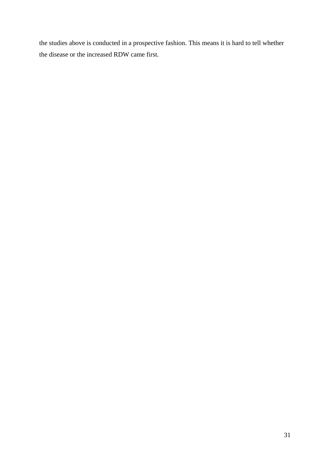the studies above is conducted in a prospective fashion. This means it is hard to tell whether the disease or the increased RDW came first.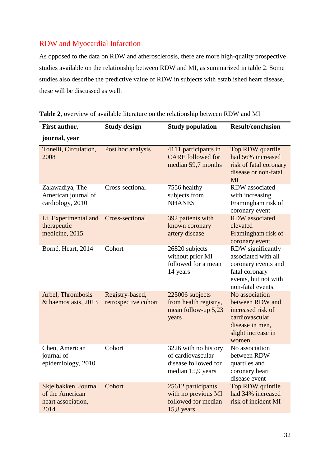## <span id="page-31-0"></span>RDW and Myocardial Infarction

As opposed to the data on RDW and atherosclerosis, there are more high-quality prospective studies available on the relationship between RDW and MI, as summarized in table 2. Some studies also describe the predictive value of RDW in subjects with established heart disease, these will be discussed as well.

| First author,                                                         | <b>Study design</b>                     | <b>Study population</b>                                                                | <b>Result/conclusion</b>                                                                                                       |
|-----------------------------------------------------------------------|-----------------------------------------|----------------------------------------------------------------------------------------|--------------------------------------------------------------------------------------------------------------------------------|
| journal, year                                                         |                                         |                                                                                        |                                                                                                                                |
| Tonelli, Circulation,<br>2008                                         | Post hoc analysis                       | 4111 participants in<br><b>CARE</b> followed for<br>median 59,7 months                 | Top RDW quartile<br>had 56% increased<br>risk of fatal coronary<br>disease or non-fatal<br>MI                                  |
| Zalawadiya, The<br>American journal of<br>cardiology, 2010            | Cross-sectional                         | 7556 healthy<br>subjects from<br><b>NHANES</b>                                         | RDW associated<br>with increasing<br>Framingham risk of<br>coronary event                                                      |
| Li, Experimental and<br>therapeutic<br>medicine, 2015                 | Cross-sectional                         | 392 patients with<br>known coronary<br>artery disease                                  | <b>RDW</b> associated<br>elevated<br>Framingham risk of<br>coronary event                                                      |
| Borné, Heart, 2014                                                    | Cohort                                  | 26820 subjects<br>without prior MI<br>followed for a mean<br>14 years                  | RDW significantly<br>associated with all<br>coronary events and<br>fatal coronary<br>events, but not with<br>non-fatal events. |
| Arbel, Thrombosis<br>& haemostasis, 2013                              | Registry-based,<br>retrospective cohort | 225006 subjects<br>from health registry,<br>mean follow-up 5,23<br>years               | No association<br>between RDW and<br>increased risk of<br>cardiovascular<br>disease in men,<br>slight increase in<br>women.    |
| Chen, American<br>journal of<br>epidemiology, 2010                    | Cohort                                  | 3226 with no history<br>of cardiovascular<br>disease followed for<br>median 15,9 years | No association<br>between RDW<br>quartiles and<br>coronary heart<br>disease event                                              |
| Skjelbakken, Journal<br>of the American<br>heart association,<br>2014 | Cohort                                  | 25612 participants<br>with no previous MI<br>followed for median<br>$15,8$ years       | Top RDW quintile<br>had 34% increased<br>risk of incident MI                                                                   |

**Table 2**, overview of available literature on the relationship between RDW and MI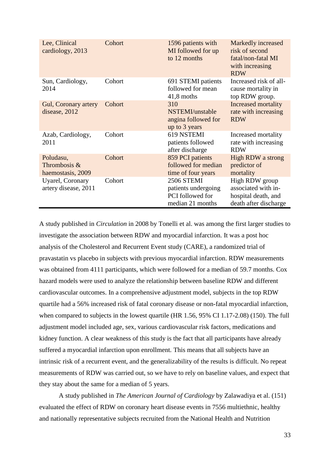| Lee, Clinical<br>cardiology, 2013                | Cohort | 1596 patients with<br>MI followed for up<br>to 12 months                         | Markedly increased<br>risk of second<br>fatal/non-fatal MI<br>with increasing<br><b>RDW</b> |
|--------------------------------------------------|--------|----------------------------------------------------------------------------------|---------------------------------------------------------------------------------------------|
| Sun, Cardiology,<br>2014                         | Cohort | 691 STEMI patients<br>followed for mean<br>$41,8$ moths                          | Increased risk of all-<br>cause mortality in<br>top RDW group.                              |
| <b>Gul, Coronary artery</b><br>disease, 2012     | Cohort | 310<br>NSTEMI/unstable<br>angina followed for<br>up to 3 years                   | <b>Increased mortality</b><br>rate with increasing<br><b>RDW</b>                            |
| Azab, Cardiology,<br>2011                        | Cohort | 619 NSTEMI<br>patients followed<br>after discharge                               | Increased mortality<br>rate with increasing<br><b>RDW</b>                                   |
| Poludasu,<br>Thrombosis $&$<br>haemostasis, 2009 | Cohort | 859 PCI patients<br>followed for median<br>time of four years                    | High RDW a strong<br>predictor of<br>mortality                                              |
| Uyarel, Coronary<br>artery disease, 2011         | Cohort | <b>2506 STEMI</b><br>patients undergoing<br>PCI followed for<br>median 21 months | High RDW group<br>associated with in-<br>hospital death, and<br>death after discharge       |

A study published in *Circulation* in 2008 by Tonelli et al. was among the first larger studies to investigate the association between RDW and myocardial infarction. It was a post hoc analysis of the Cholesterol and Recurrent Event study (CARE), a randomized trial of pravastatin vs placebo in subjects with previous myocardial infarction. RDW measurements was obtained from 4111 participants, which were followed for a median of 59.7 months. Cox hazard models were used to analyze the relationship between baseline RDW and different cardiovascular outcomes. In a comprehensive adjustment model, subjects in the top RDW quartile had a 56% increased risk of fatal coronary disease or non-fatal myocardial infarction, when compared to subjects in the lowest quartile (HR 1.56, 95% CI 1.17-2.08) (150). The full adjustment model included age, sex, various cardiovascular risk factors, medications and kidney function. A clear weakness of this study is the fact that all participants have already suffered a myocardial infarction upon enrollment. This means that all subjects have an intrinsic risk of a recurrent event, and the generalizability of the results is difficult. No repeat measurements of RDW was carried out, so we have to rely on baseline values, and expect that they stay about the same for a median of 5 years.

A study published in *The American Journal of Cardiology* by Zalawadiya et al. (151) evaluated the effect of RDW on coronary heart disease events in 7556 multiethnic, healthy and nationally representative subjects recruited from the National Health and Nutrition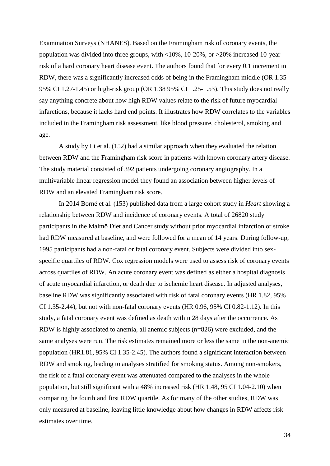Examination Surveys (NHANES). Based on the Framingham risk of coronary events, the population was divided into three groups, with <10%, 10-20%, or >20% increased 10-year risk of a hard coronary heart disease event. The authors found that for every 0.1 increment in RDW, there was a significantly increased odds of being in the Framingham middle (OR 1.35 95% CI 1.27-1.45) or high-risk group (OR 1.38 95% CI 1.25-1.53). This study does not really say anything concrete about how high RDW values relate to the risk of future myocardial infarctions, because it lacks hard end points. It illustrates how RDW correlates to the variables included in the Framingham risk assessment, like blood pressure, cholesterol, smoking and age.

A study by Li et al. (152) had a similar approach when they evaluated the relation between RDW and the Framingham risk score in patients with known coronary artery disease. The study material consisted of 392 patients undergoing coronary angiography. In a multivariable linear regression model they found an association between higher levels of RDW and an elevated Framingham risk score.

In 2014 Borné et al. (153) published data from a large cohort study in *Heart* showing a relationship between RDW and incidence of coronary events. A total of 26820 study participants in the Malmö Diet and Cancer study without prior myocardial infarction or stroke had RDW measured at baseline, and were followed for a mean of 14 years. During follow-up, 1995 participants had a non-fatal or fatal coronary event. Subjects were divided into sexspecific quartiles of RDW. Cox regression models were used to assess risk of coronary events across quartiles of RDW. An acute coronary event was defined as either a hospital diagnosis of acute myocardial infarction, or death due to ischemic heart disease. In adjusted analyses, baseline RDW was significantly associated with risk of fatal coronary events (HR 1.82, 95% CI 1.35-2.44), but not with non-fatal coronary events (HR 0.96, 95% CI 0.82-1.12). In this study, a fatal coronary event was defined as death within 28 days after the occurrence. As RDW is highly associated to anemia, all anemic subjects (n=826) were excluded, and the same analyses were run. The risk estimates remained more or less the same in the non-anemic population (HR1.81, 95% CI 1.35-2.45). The authors found a significant interaction between RDW and smoking, leading to analyses stratified for smoking status. Among non-smokers, the risk of a fatal coronary event was attenuated compared to the analyses in the whole population, but still significant with a 48% increased risk (HR 1.48, 95 CI 1.04-2.10) when comparing the fourth and first RDW quartile. As for many of the other studies, RDW was only measured at baseline, leaving little knowledge about how changes in RDW affects risk estimates over time.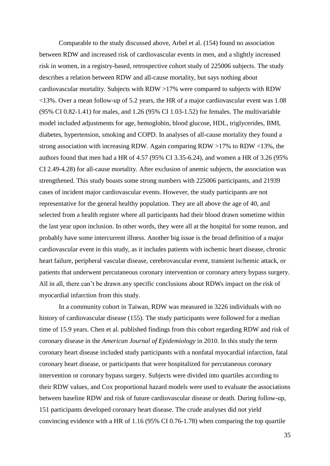Comparable to the study discussed above, Arbel et al. (154) found no association between RDW and increased risk of cardiovascular events in men, and a slightly increased risk in women, in a registry-based, retrospective cohort study of 225006 subjects. The study describes a relation between RDW and all-cause mortality, but says nothing about cardiovascular mortality. Subjects with RDW >17% were compared to subjects with RDW <13%. Over a mean follow-up of 5.2 years, the HR of a major cardiovascular event was 1.08 (95% CI 0.82-1.41) for males, and 1.26 (95% CI 1.03-1.52) for females. The multivariable model included adjustments for age, hemoglobin, blood glucose, HDL, triglycerides, BMI, diabetes, hypertension, smoking and COPD. In analyses of all-cause mortality they found a strong association with increasing RDW. Again comparing RDW >17% to RDW <13%, the authors found that men had a HR of 4.57 (95% CI 3.35-6.24), and women a HR of 3.26 (95% CI 2.49-4.28) for all-cause mortality. After exclusion of anemic subjects, the association was strengthened. This study boasts some strong numbers with 225006 participants, and 21939 cases of incident major cardiovascular events. However, the study participants are not representative for the general healthy population. They are all above the age of 40, and selected from a health register where all participants had their blood drawn sometime within the last year upon inclusion. In other words, they were all at the hospital for some reason, and probably have some intercurrent illness. Another big issue is the broad definition of a major cardiovascular event in this study, as it includes patients with ischemic heart disease, chronic heart failure, peripheral vascular disease, cerebrovascular event, transient ischemic attack, or patients that underwent percutaneous coronary intervention or coronary artery bypass surgery. All in all, there can't be drawn any specific conclusions about RDWs impact on the risk of myocardial infarction from this study.

In a community cohort in Taiwan, RDW was measured in 3226 individuals with no history of cardiovascular disease (155). The study participants were followed for a median time of 15.9 years. Chen et al. published findings from this cohort regarding RDW and risk of coronary disease in the *American Journal of Epidemiology* in 2010. In this study the term coronary heart disease included study participants with a nonfatal myocardial infarction, fatal coronary heart disease, or participants that were hospitalized for percutaneous coronary intervention or coronary bypass surgery. Subjects were divided into quartiles according to their RDW values, and Cox proportional hazard models were used to evaluate the associations between baseline RDW and risk of future cardiovascular disease or death. During follow-up, 151 participants developed coronary heart disease. The crude analyses did not yield convincing evidence with a HR of 1.16 (95% CI 0.76-1.78) when comparing the top quartile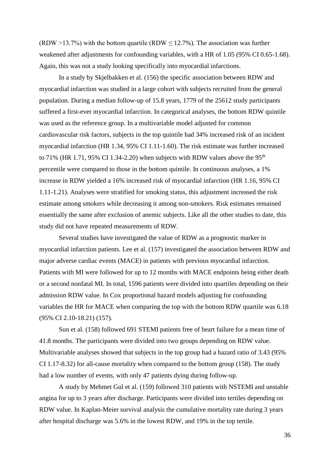(RDW >13.7%) with the bottom quartile (RDW  $\leq$  12.7%). The association was further weakened after adjustments for confounding variables, with a HR of 1.05 (95% CI 0.65-1.68). Again, this was not a study looking specifically into myocardial infarctions.

In a study by Skjelbakken et al. (156) the specific association between RDW and myocardial infarction was studied in a large cohort with subjects recruited from the general population. During a median follow-up of 15.8 years, 1779 of the 25612 study participants suffered a first-ever myocardial infarction. In categorical analyses, the bottom RDW quintile was used as the reference group. In a multivariable model adjusted for common cardiovascular risk factors, subjects in the top quintile had 34% increased risk of an incident myocardial infarction (HR 1.34, 95% CI 1.11-1.60). The risk estimate was further increased to 71% (HR 1.71, 95% CI 1.34-2.20) when subjects with RDW values above the 95<sup>th</sup> percentile were compared to those in the bottom quintile. In continuous analyses, a 1% increase in RDW yielded a 16% increased risk of myocardial infarction (HR 1.16, 95% CI 1.11-1.21). Analyses were stratified for smoking status, this adjustment increased the risk estimate among smokers while decreasing it among non-smokers. Risk estimates remained essentially the same after exclusion of anemic subjects. Like all the other studies to date, this study did not have repeated measurements of RDW.

Several studies have investigated the value of RDW as a prognostic marker in myocardial infarction patients. Lee et al. (157) investigated the association between RDW and major adverse cardiac events (MACE) in patients with previous myocardial infarction. Patients with MI were followed for up to 12 months with MACE endpoints being either death or a second nonfatal MI. In total, 1596 patients were divided into quartiles depending on their admission RDW value. In Cox proportional hazard models adjusting for confounding variables the HR for MACE when comparing the top with the bottom RDW quartile was 6.18 (95% CI 2.10-18.21) (157).

Sun et al. (158) followed 691 STEMI patients free of heart failure for a mean time of 41.8 months. The participants were divided into two groups depending on RDW value. Multivariable analyses showed that subjects in the top group had a hazard ratio of 3.43 (95% CI 1.17-8.32) for all-cause mortality when compared to the bottom group (158). The study had a low number of events, with only 47 patients dying during follow-up.

A study by Mehmet Gul et al. (159) followed 310 patients with NSTEMI and unstable angina for up to 3 years after discharge. Participants were divided into tertiles depending on RDW value. In Kaplan-Meier survival analysis the cumulative mortality rate during 3 years after hospital discharge was 5.6% in the lowest RDW, and 19% in the top tertile.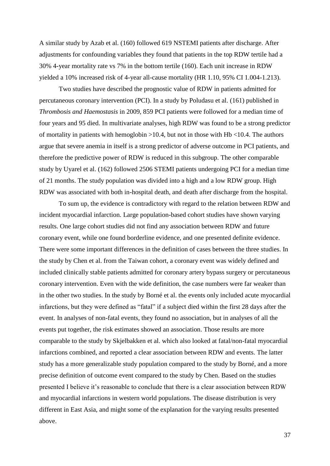A similar study by Azab et al. (160) followed 619 NSTEMI patients after discharge. After adjustments for confounding variables they found that patients in the top RDW tertile had a 30% 4-year mortality rate vs 7% in the bottom tertile (160). Each unit increase in RDW yielded a 10% increased risk of 4-year all-cause mortality (HR 1.10, 95% CI 1.004-1.213).

Two studies have described the prognostic value of RDW in patients admitted for percutaneous coronary intervention (PCI). In a study by Poludasu et al. (161) published in *Thrombosis and Haemostasis* in 2009, 859 PCI patients were followed for a median time of four years and 95 died. In multivariate analyses, high RDW was found to be a strong predictor of mortality in patients with hemoglobin >10.4, but not in those with Hb <10.4. The authors argue that severe anemia in itself is a strong predictor of adverse outcome in PCI patients, and therefore the predictive power of RDW is reduced in this subgroup. The other comparable study by Uyarel et al. (162) followed 2506 STEMI patients undergoing PCI for a median time of 21 months. The study population was divided into a high and a low RDW group. High RDW was associated with both in-hospital death, and death after discharge from the hospital.

To sum up, the evidence is contradictory with regard to the relation between RDW and incident myocardial infarction. Large population-based cohort studies have shown varying results. One large cohort studies did not find any association between RDW and future coronary event, while one found borderline evidence, and one presented definite evidence. There were some important differences in the definition of cases between the three studies. In the study by Chen et al. from the Taiwan cohort, a coronary event was widely defined and included clinically stable patients admitted for coronary artery bypass surgery or percutaneous coronary intervention. Even with the wide definition, the case numbers were far weaker than in the other two studies. In the study by Borné et al. the events only included acute myocardial infarctions, but they were defined as "fatal" if a subject died within the first 28 days after the event. In analyses of non-fatal events, they found no association, but in analyses of all the events put together, the risk estimates showed an association. Those results are more comparable to the study by Skjelbakken et al. which also looked at fatal/non-fatal myocardial infarctions combined, and reported a clear association between RDW and events. The latter study has a more generalizable study population compared to the study by Borné, and a more precise definition of outcome event compared to the study by Chen. Based on the studies presented I believe it's reasonable to conclude that there is a clear association between RDW and myocardial infarctions in western world populations. The disease distribution is very different in East Asia, and might some of the explanation for the varying results presented above.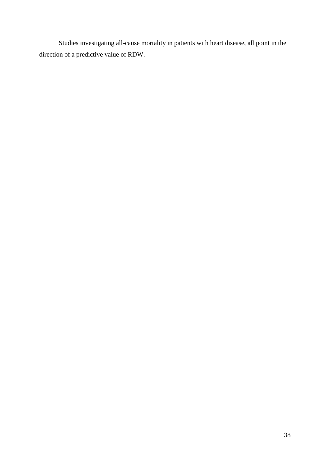Studies investigating all-cause mortality in patients with heart disease, all point in the direction of a predictive value of RDW.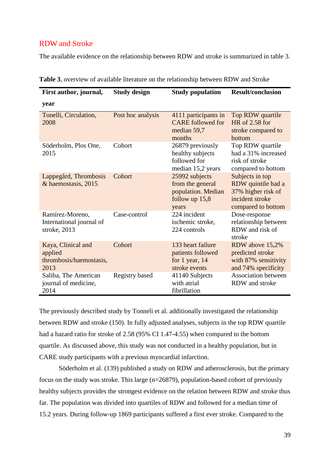### <span id="page-38-0"></span>RDW and Stroke

The available evidence on the relationship between RDW and stroke is summarized in table 3.

| First author, journal,                                           | <b>Study design</b> | <b>Study population</b>                                                               | <b>Result/conclusion</b>                                                                             |
|------------------------------------------------------------------|---------------------|---------------------------------------------------------------------------------------|------------------------------------------------------------------------------------------------------|
| year                                                             |                     |                                                                                       |                                                                                                      |
| Tonelli, Circulation,<br>2008                                    | Post hoc analysis   | 4111 participants in<br><b>CARE</b> followed for<br>median 59,7<br>months             | Top RDW quartile<br>HR of 2.58 for<br>stroke compared to<br><b>bottom</b>                            |
| Söderholm, Plos One,<br>2015                                     | Cohort              | 26879 previously<br>healthy subjects<br>followed for<br>median 15,2 years             | Top RDW quartile<br>had a 31% increased<br>risk of stroke<br>compared to bottom                      |
| Lappegård, Thrombosis<br>& haemostasis, 2015                     | Cohort              | 25992 subjects<br>from the general<br>population. Median<br>follow up $15,8$<br>years | Subjects in top<br>RDW quintile had a<br>37% higher risk of<br>incident stroke<br>compared to bottom |
| Ramírez-Moreno,<br>International journal of<br>stroke, 2013      | Case-control        | 224 incident<br>ischemic stroke,<br>224 controls                                      | Dose-response<br>relationship between<br>RDW and risk of<br>stroke                                   |
| Kaya, Clinical and<br>applied<br>thrombosis/haemostasis,<br>2013 | Cohort              | 133 heart failure<br>patients followed<br>for $1$ year, $14$<br>stroke events         | RDW above 15,2%<br>predicted stroke<br>with 87% sensitivity<br>and 74% specificity                   |
| Saliba, The American<br>journal of medicine,<br>2014             | Registry based      | 41140 Subjects<br>with atrial<br>fibrillation                                         | <b>Association between</b><br>RDW and stroke                                                         |

**Table 3**, overview of available literature on the relationship between RDW and Stroke

The previously described study by Tonneli et al. additionally investigated the relationship between RDW and stroke (150). In fully adjusted analyses, subjects in the top RDW quartile had a hazard ratio for stroke of 2.58 (95% CI 1.47-4.55) when compared to the bottom quartile. As discussed above, this study was not conducted in a healthy population, but in CARE study participants with a previous myocardial infarction.

Söderholm et al. (139) published a study on RDW and atherosclerosis, but the primary focus on the study was stroke. This large (n=26879), population-based cohort of previously healthy subjects provides the strongest evidence on the relation between RDW and stroke thus far. The population was divided into quartiles of RDW and followed for a median time of 15.2 years. During follow-up 1869 participants suffered a first ever stroke. Compared to the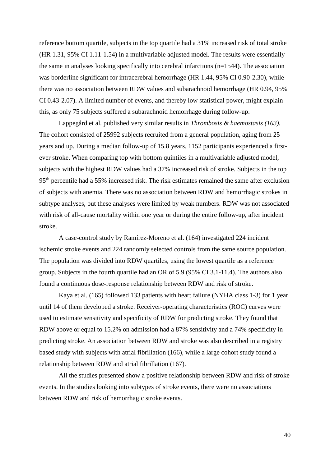reference bottom quartile, subjects in the top quartile had a 31% increased risk of total stroke (HR 1.31, 95% CI 1.11-1.54) in a multivariable adjusted model. The results were essentially the same in analyses looking specifically into cerebral infarctions (n=1544). The association was borderline significant for intracerebral hemorrhage (HR 1.44, 95% CI 0.90-2.30), while there was no association between RDW values and subarachnoid hemorrhage (HR 0.94, 95% CI 0.43-2.07). A limited number of events, and thereby low statistical power, might explain this, as only 75 subjects suffered a subarachnoid hemorrhage during follow-up.

Lappegård et al. published very similar results in *Thrombosis & haemostasis (163).*  The cohort consisted of 25992 subjects recruited from a general population, aging from 25 years and up. During a median follow-up of 15.8 years, 1152 participants experienced a firstever stroke. When comparing top with bottom quintiles in a multivariable adjusted model, subjects with the highest RDW values had a 37% increased risk of stroke. Subjects in the top 95th percentile had a 55% increased risk. The risk estimates remained the same after exclusion of subjects with anemia. There was no association between RDW and hemorrhagic strokes in subtype analyses, but these analyses were limited by weak numbers. RDW was not associated with risk of all-cause mortality within one year or during the entire follow-up, after incident stroke.

A case-control study by Ramírez-Moreno et al. (164) investigated 224 incident ischemic stroke events and 224 randomly selected controls from the same source population. The population was divided into RDW quartiles, using the lowest quartile as a reference group. Subjects in the fourth quartile had an OR of 5.9 (95% CI 3.1-11.4). The authors also found a continuous dose-response relationship between RDW and risk of stroke.

Kaya et al. (165) followed 133 patients with heart failure (NYHA class 1-3) for 1 year until 14 of them developed a stroke. Receiver-operating characteristics (ROC) curves were used to estimate sensitivity and specificity of RDW for predicting stroke. They found that RDW above or equal to 15.2% on admission had a 87% sensitivity and a 74% specificity in predicting stroke. An association between RDW and stroke was also described in a registry based study with subjects with atrial fibrillation (166), while a large cohort study found a relationship between RDW and atrial fibrillation (167).

All the studies presented show a positive relationship between RDW and risk of stroke events. In the studies looking into subtypes of stroke events, there were no associations between RDW and risk of hemorrhagic stroke events.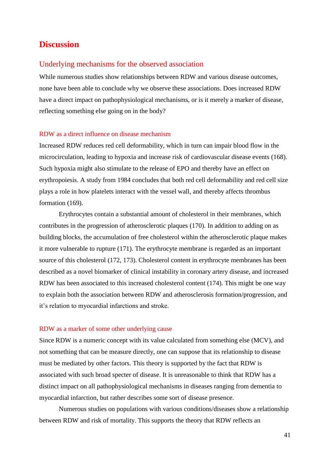## <span id="page-40-0"></span>**Discussion**

#### <span id="page-40-1"></span>Underlying mechanisms for the observed association

While numerous studies show relationships between RDW and various disease outcomes, none have been able to conclude why we observe these associations. Does increased RDW have a direct impact on pathophysiological mechanisms, or is it merely a marker of disease, reflecting something else going on in the body?

#### <span id="page-40-2"></span>RDW as a direct influence on disease mechanism

Increased RDW reduces red cell deformability, which in turn can impair blood flow in the microcirculation, leading to hypoxia and increase risk of cardiovascular disease events (168). Such hypoxia might also stimulate to the release of EPO and thereby have an effect on erythropoiesis. A study from 1984 concludes that both red cell deformability and red cell size plays a role in how platelets interact with the vessel wall, and thereby affects thrombus formation (169).

Erythrocytes contain a substantial amount of cholesterol in their membranes, which contributes in the progression of atherosclerotic plaques (170). In addition to adding on as building blocks, the accumulation of free cholesterol within the atherosclerotic plaque makes it more vulnerable to rupture (171). The erythrocyte membrane is regarded as an important source of this cholesterol (172, 173). Cholesterol content in erythrocyte membranes has been described as a novel biomarker of clinical instability in coronary artery disease, and increased RDW has been associated to this increased cholesterol content (174). This might be one way to explain both the association between RDW and atherosclerosis formation/progression, and it's relation to myocardial infarctions and stroke.

#### <span id="page-40-3"></span>RDW as a marker of some other underlying cause

Since RDW is a numeric concept with its value calculated from something else (MCV), and not something that can be measure directly, one can suppose that its relationship to disease must be mediated by other factors. This theory is supported by the fact that RDW is associated with such broad specter of disease. It is unreasonable to think that RDW has a distinct impact on all pathophysiological mechanisms in diseases ranging from dementia to myocardial infarction, but rather describes some sort of disease presence.

Numerous studies on populations with various conditions/diseases show a relationship between RDW and risk of mortality. This supports the theory that RDW reflects an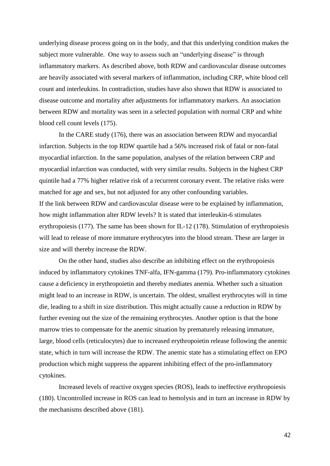underlying disease process going on in the body, and that this underlying condition makes the subject more vulnerable. One way to assess such an "underlying disease" is through inflammatory markers. As described above, both RDW and cardiovascular disease outcomes are heavily associated with several markers of inflammation, including CRP, white blood cell count and interleukins. In contradiction, studies have also shown that RDW is associated to disease outcome and mortality after adjustments for inflammatory markers. An association between RDW and mortality was seen in a selected population with normal CRP and white blood cell count levels (175).

In the CARE study (176), there was an association between RDW and myocardial infarction. Subjects in the top RDW quartile had a 56% increased risk of fatal or non-fatal myocardial infarction. In the same population, analyses of the relation between CRP and myocardial infarction was conducted, with very similar results. Subjects in the highest CRP quintile had a 77% higher relative risk of a recurrent coronary event. The relative risks were matched for age and sex, but not adjusted for any other confounding variables. If the link between RDW and cardiovascular disease were to be explained by inflammation, how might inflammation alter RDW levels? It is stated that interleukin-6 stimulates erythropoiesis (177). The same has been shown for IL-12 (178). Stimulation of erythropoiesis will lead to release of more immature erythrocytes into the blood stream. These are larger in size and will thereby increase the RDW.

On the other hand, studies also describe an inhibiting effect on the erythropoiesis induced by inflammatory cytokines TNF-alfa, IFN-gamma (179). Pro-inflammatory cytokines cause a deficiency in erythropoietin and thereby mediates anemia. Whether such a situation might lead to an increase in RDW, is uncertain. The oldest, smallest erythrocytes will in time die, leading to a shift in size distribution. This might actually cause a reduction in RDW by further evening out the size of the remaining erythrocytes. Another option is that the bone marrow tries to compensate for the anemic situation by prematurely releasing immature, large, blood cells (reticulocytes) due to increased erythropoietin release following the anemic state, which in turn will increase the RDW. The anemic state has a stimulating effect on EPO production which might suppress the apparent inhibiting effect of the pro-inflammatory cytokines.

Increased levels of reactive oxygen species (ROS), leads to ineffective erythropoiesis (180). Uncontrolled increase in ROS can lead to hemolysis and in turn an increase in RDW by the mechanisms described above (181).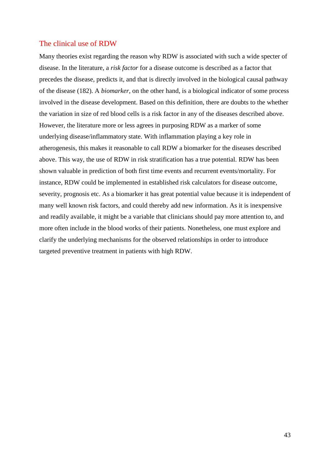#### <span id="page-42-0"></span>The clinical use of RDW

Many theories exist regarding the reason why RDW is associated with such a wide specter of disease. In the literature, a *risk factor* for a disease outcome is described as a factor that precedes the disease, predicts it, and that is directly involved in the biological causal pathway of the disease (182). A *biomarker*, on the other hand, is a biological indicator of some process involved in the disease development. Based on this definition, there are doubts to the whether the variation in size of red blood cells is a risk factor in any of the diseases described above. However, the literature more or less agrees in purposing RDW as a marker of some underlying disease/inflammatory state. With inflammation playing a key role in atherogenesis, this makes it reasonable to call RDW a biomarker for the diseases described above. This way, the use of RDW in risk stratification has a true potential. RDW has been shown valuable in prediction of both first time events and recurrent events/mortality. For instance, RDW could be implemented in established risk calculators for disease outcome, severity, prognosis etc. As a biomarker it has great potential value because it is independent of many well known risk factors, and could thereby add new information. As it is inexpensive and readily available, it might be a variable that clinicians should pay more attention to, and more often include in the blood works of their patients. Nonetheless, one must explore and clarify the underlying mechanisms for the observed relationships in order to introduce targeted preventive treatment in patients with high RDW.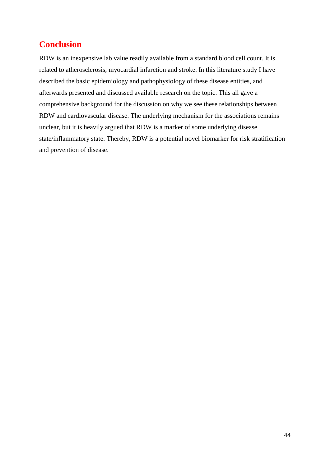## <span id="page-43-0"></span>**Conclusion**

RDW is an inexpensive lab value readily available from a standard blood cell count. It is related to atherosclerosis, myocardial infarction and stroke. In this literature study I have described the basic epidemiology and pathophysiology of these disease entities, and afterwards presented and discussed available research on the topic. This all gave a comprehensive background for the discussion on why we see these relationships between RDW and cardiovascular disease. The underlying mechanism for the associations remains unclear, but it is heavily argued that RDW is a marker of some underlying disease state/inflammatory state. Thereby, RDW is a potential novel biomarker for risk stratification and prevention of disease.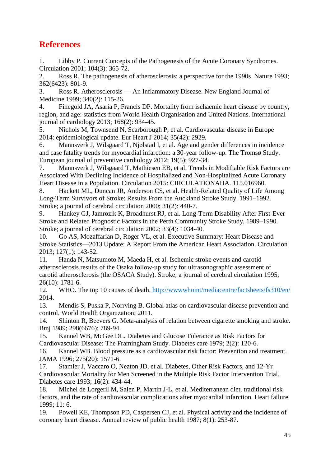## <span id="page-44-0"></span>**References**

1. Libby P. Current Concepts of the Pathogenesis of the Acute Coronary Syndromes. Circulation 2001; 104(3): 365-72.

2. Ross R. The pathogenesis of atherosclerosis: a perspective for the 1990s. Nature 1993; 362(6423): 801-9.

3. Ross R. Atherosclerosis — An Inflammatory Disease. New England Journal of Medicine 1999; 340(2): 115-26.

4. Finegold JA, Asaria P, Francis DP. Mortality from ischaemic heart disease by country, region, and age: statistics from World Health Organisation and United Nations. International journal of cardiology 2013; 168(2): 934-45.

5. Nichols M, Townsend N, Scarborough P, et al. Cardiovascular disease in Europe 2014: epidemiological update. Eur Heart J 2014; 35(42): 2929.

6. Mannsverk J, Wilsgaard T, Njølstad I, et al. Age and gender differences in incidence and case fatality trends for myocardial infarction: a 30-year follow-up. The Tromsø Study. European journal of preventive cardiology 2012; 19(5): 927-34.

7. Mannsverk J, Wilsgaard T, Mathiesen EB, et al. Trends in Modifiable Risk Factors are Associated With Declining Incidence of Hospitalized and Non-Hospitalized Acute Coronary Heart Disease in a Population. Circulation 2015: CIRCULATIONAHA. 115.016960.

8. Hackett ML, Duncan JR, Anderson CS, et al. Health-Related Quality of Life Among Long-Term Survivors of Stroke: Results From the Auckland Stroke Study, 1991–1992. Stroke; a journal of cerebral circulation 2000; 31(2): 440-7.

9. Hankey GJ, Jamrozik K, Broadhurst RJ, et al. Long-Term Disability After First-Ever Stroke and Related Prognostic Factors in the Perth Community Stroke Study, 1989–1990. Stroke; a journal of cerebral circulation 2002; 33(4): 1034-40.

10. Go AS, Mozaffarian D, Roger VL, et al. Executive Summary: Heart Disease and Stroke Statistics—2013 Update: A Report From the American Heart Association. Circulation 2013; 127(1): 143-52.

11. Handa N, Matsumoto M, Maeda H, et al. Ischemic stroke events and carotid atherosclerosis results of the Osaka follow-up study for ultrasonographic assessment of carotid atherosclerosis (the OSACA Study). Stroke; a journal of cerebral circulation 1995; 26(10): 1781-6.

12. WHO. The top 10 causes of death.<http://wwwwhoint/mediacentre/factsheets/fs310/en/> 2014.

13. Mendis S, Puska P, Norrving B. Global atlas on cardiovascular disease prevention and control, World Health Organization; 2011.

14. Shinton R, Beevers G. Meta-analysis of relation between cigarette smoking and stroke. Bmj 1989; 298(6676): 789-94.

15. Kannel WB, McGee DL. Diabetes and Glucose Tolerance as Risk Factors for Cardiovascular Disease: The Framingham Study. Diabetes care 1979; 2(2): 120-6.

16. Kannel WB. Blood pressure as a cardiovascular risk factor: Prevention and treatment. JAMA 1996; 275(20): 1571-6.

17. Stamler J, Vaccaro O, Neaton JD, et al. Diabetes, Other Risk Factors, and 12-Yr Cardiovascular Mortality for Men Screened in the Multiple Risk Factor Intervention Trial. Diabetes care 1993; 16(2): 434-44.

18. Michel de Lorgeril M, Salen P, Martin J-L, et al. Mediterranean diet, traditional risk factors, and the rate of cardiovascular complications after myocardial infarction. Heart failure 1999; 11: 6.

19. Powell KE, Thompson PD, Caspersen CJ, et al. Physical activity and the incidence of coronary heart disease. Annual review of public health 1987; 8(1): 253-87.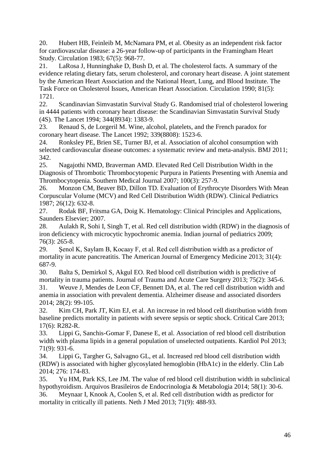20. Hubert HB, Feinleib M, McNamara PM, et al. Obesity as an independent risk factor for cardiovascular disease: a 26-year follow-up of participants in the Framingham Heart Study. Circulation 1983; 67(5): 968-77.

21. LaRosa J, Hunninghake D, Bush D, et al. The cholesterol facts. A summary of the evidence relating dietary fats, serum cholesterol, and coronary heart disease. A joint statement by the American Heart Association and the National Heart, Lung, and Blood Institute. The Task Force on Cholesterol Issues, American Heart Association. Circulation 1990; 81(5): 1721.

22. Scandinavian Simvastatin Survival Study G. Randomised trial of cholesterol lowering in 4444 patients with coronary heart disease: the Scandinavian Simvastatin Survival Study (4S). The Lancet 1994; 344(8934): 1383-9.

23. Renaud S, de Lorgeril M. Wine, alcohol, platelets, and the French paradox for coronary heart disease. The Lancet 1992; 339(8808): 1523-6.

24. Ronksley PE, Brien SE, Turner BJ, et al. Association of alcohol consumption with selected cardiovascular disease outcomes: a systematic review and meta-analysis. BMJ 2011; 342.

25. Nagajothi NMD, Braverman AMD. Elevated Red Cell Distribution Width in the Diagnosis of Thrombotic Thrombocytopenic Purpura in Patients Presenting with Anemia and Thrombocytopenia. Southern Medical Journal 2007; 100(3): 257-9.

26. Monzon CM, Beaver BD, Dillon TD. Evaluation of Erythrocyte Disorders With Mean Corpuscular Volume (MCV) and Red Cell Distribution Width (RDW). Clinical Pediatrics 1987; 26(12): 632-8.

27. Rodak BF, Fritsma GA, Doig K. Hematology: Clinical Principles and Applications, Saunders Elsevier; 2007.

28. Aulakh R, Sohi I, Singh T, et al. Red cell distribution width (RDW) in the diagnosis of iron deficiency with microcytic hypochromic anemia. Indian journal of pediatrics 2009; 76(3): 265-8.

29. Senol K, Saylam B, Kocaay F, et al. Red cell distribution width as a predictor of mortality in acute pancreatitis. The American Journal of Emergency Medicine 2013; 31(4): 687-9.

30. Balta S, Demirkol S, Akgul EO. Red blood cell distribution width is predictive of mortality in trauma patients. Journal of Trauma and Acute Care Surgery 2013; 75(2): 345-6. 31. Weuve J, Mendes de Leon CF, Bennett DA, et al. The red cell distribution width and anemia in association with prevalent dementia. Alzheimer disease and associated disorders 2014; 28(2): 99-105.

32. Kim CH, Park JT, Kim EJ, et al. An increase in red blood cell distribution width from baseline predicts mortality in patients with severe sepsis or septic shock. Critical Care 2013; 17(6): R282-R.

33. Lippi G, Sanchis-Gomar F, Danese E, et al. Association of red blood cell distribution width with plasma lipids in a general population of unselected outpatients. Kardiol Pol 2013; 71(9): 931-6.

34. Lippi G, Targher G, Salvagno GL, et al. Increased red blood cell distribution width (RDW) is associated with higher glycosylated hemoglobin (HbA1c) in the elderly. Clin Lab 2014; 276: 174-83.

35. Yu HM, Park KS, Lee JM. The value of red blood cell distribution width in subclinical hypothyroidism. Arquivos Brasileiros de Endocrinologia & Metabologia 2014; 58(1): 30-6.

36. Meynaar I, Knook A, Coolen S, et al. Red cell distribution width as predictor for mortality in critically ill patients. Neth J Med 2013; 71(9): 488-93.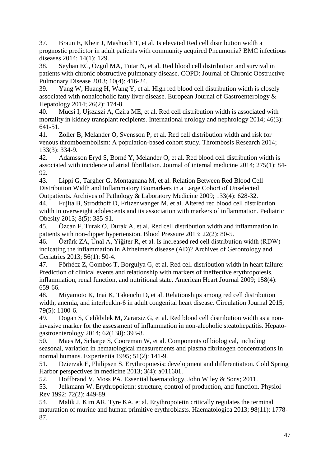37. Braun E, Kheir J, Mashiach T, et al. Is elevated Red cell distribution width a prognostic predictor in adult patients with community acquired Pneumonia? BMC infectious diseases 2014; 14(1): 129.

38. Seyhan EC, Özgül MA, Tutar N, et al. Red blood cell distribution and survival in patients with chronic obstructive pulmonary disease. COPD: Journal of Chronic Obstructive Pulmonary Disease 2013; 10(4): 416-24.

39. Yang W, Huang H, Wang Y, et al. High red blood cell distribution width is closely associated with nonalcoholic fatty liver disease. European Journal of Gastroenterology & Hepatology 2014; 26(2): 174-8.

40. Mucsi I, Ujszaszi A, Czira ME, et al. Red cell distribution width is associated with mortality in kidney transplant recipients. International urology and nephrology 2014; 46(3): 641-51.

41. Zöller B, Melander O, Svensson P, et al. Red cell distribution width and risk for venous thromboembolism: A population-based cohort study. Thrombosis Research 2014; 133(3): 334-9.

42. Adamsson Eryd S, Borné Y, Melander O, et al. Red blood cell distribution width is associated with incidence of atrial fibrillation. Journal of internal medicine 2014; 275(1): 84- 92.

43. Lippi G, Targher G, Montagnana M, et al. Relation Between Red Blood Cell Distribution Width and Inflammatory Biomarkers in a Large Cohort of Unselected Outpatients. Archives of Pathology & Laboratory Medicine 2009; 133(4): 628-32.

44. Fujita B, Strodthoff D, Fritzenwanger M, et al. Altered red blood cell distribution width in overweight adolescents and its association with markers of inflammation. Pediatric Obesity 2013; 8(5): 385-91.

45. Özcan F, Turak O, Durak A, et al. Red cell distribution width and inflammation in patients with non-dipper hypertension. Blood Pressure 2013; 22(2): 80-5.

46. Öztürk ZA, Ünal A, Yiğiter R, et al. Is increased red cell distribution width (RDW) indicating the inflammation in Alzheimer's disease (AD)? Archives of Gerontology and Geriatrics 2013; 56(1): 50-4.

47. Förhécz Z, Gombos T, Borgulya G, et al. Red cell distribution width in heart failure: Prediction of clinical events and relationship with markers of ineffective erythropoiesis, inflammation, renal function, and nutritional state. American Heart Journal 2009; 158(4): 659-66.

48. Miyamoto K, Inai K, Takeuchi D, et al. Relationships among red cell distribution width, anemia, and interleukin-6 in adult congenital heart disease. Circulation Journal 2015; 79(5): 1100-6.

49. Dogan S, Celikbilek M, Zararsiz G, et al. Red blood cell distribution width as a noninvasive marker for the assessment of inflammation in non-alcoholic steatohepatitis. Hepatogastroenterology 2014; 62(138): 393-8.

50. Maes M, Scharpe S, Cooreman W, et al. Components of biological, including seasonal, variation in hematological measurements and plasma fibrinogen concentrations in normal humans. Experientia 1995; 51(2): 141-9.

51. Dzierzak E, Philipsen S. Erythropoiesis: development and differentiation. Cold Spring Harbor perspectives in medicine 2013; 3(4): a011601.

52. Hoffbrand V, Moss PA. Essential haematology, John Wiley & Sons; 2011.

53. Jelkmann W. Erythropoietin: structure, control of production, and function. Physiol Rev 1992; 72(2): 449-89.

54. Malik J, Kim AR, Tyre KA, et al. Erythropoietin critically regulates the terminal maturation of murine and human primitive erythroblasts. Haematologica 2013; 98(11): 1778- 87.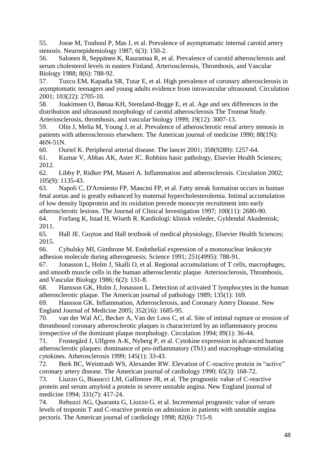55. Josse M, Touboul P, Mas J, et al. Prevalence of asymptomatic internal carotid artery stenosis. Neuroepidemiology 1987; 6(3): 150-2.

56. Salonen R, Seppänen K, Rauramaa R, et al. Prevalence of carotid atherosclerosis and serum cholesterol levels in eastern Finland. Arteriosclerosis, Thrombosis, and Vascular Biology 1988; 8(6): 788-92.

57. Tuzcu EM, Kapadia SR, Tutar E, et al. High prevalence of coronary atherosclerosis in asymptomatic teenagers and young adults evidence from intravascular ultrasound. Circulation 2001; 103(22): 2705-10.

58. Joakimsen O, Bønaa KH, Stensland-Bugge E, et al. Age and sex differences in the distribution and ultrasound morphology of carotid atherosclerosis The Tromsø Study. Arteriosclerosis, thrombosis, and vascular biology 1999; 19(12): 3007-13.

59. Olin J, Melia M, Young J, et al. Prevalence of atherosclerotic renal artery stenosis in patients with atherosclerosis elsewhere. The American journal of medicine 1990; 88(1N): 46N-51N.

60. Ouriel K. Peripheral arterial disease. The lancet 2001; 358(9289): 1257-64.

61. Kumar V, Abbas AK, Aster JC. Robbins basic pathology, Elsevier Health Sciences; 2012.

62. Libby P, Ridker PM, Maseri A. Inflammation and atherosclerosis. Circulation 2002; 105(9): 1135-43.

63. Napoli C, D'Armiento FP, Mancini FP, et al. Fatty streak formation occurs in human fetal aortas and is greatly enhanced by maternal hypercholesterolemia. Intimal accumulation of low density lipoprotein and its oxidation precede monocyte recruitment into early atherosclerotic lesions. The Journal of Clinical Investigation 1997; 100(11): 2680-90.

64. Forfang K, Istad H, Wiseth R. Kardiologi: klinisk veileder, Gyldendal Akademisk; 2011.

65. Hall JE. Guyton and Hall textbook of medical physiology, Elsevier Health Sciences; 2015.

66. Cybulsky MI, Gimbrone M. Endothelial expression of a mononuclear leukocyte adhesion molecule during atherogenesis. Science 1991; 251(4995): 788-91.

67. Jonasson L, Holm J, Skalli O, et al. Regional accumulations of T cells, macrophages, and smooth muscle cells in the human atherosclerotic plaque. Arteriosclerosis, Thrombosis, and Vascular Biology 1986; 6(2): 131-8.

68. Hansson GK, Holm J, Jonasson L. Detection of activated T lymphocytes in the human atherosclerotic plaque. The American journal of pathology 1989; 135(1): 169.

69. Hansson GK. Inflammation, Atherosclerosis, and Coronary Artery Disease. New England Journal of Medicine 2005; 352(16): 1685-95.

70. van der Wal AC, Becker A, Van der Loos C, et al. Site of intimal rupture or erosion of thrombosed coronary atherosclerotic plaques is characterized by an inflammatory process irrespective of the dominant plaque morphology. Circulation 1994; 89(1): 36-44.

71. Frostegård J, Ulfgren A-K, Nyberg P, et al. Cytokine expression in advanced human atherosclerotic plaques: dominance of pro-inflammatory (Th1) and macrophage-stimulating cytokines. Atherosclerosis 1999; 145(1): 33-43.

72. Berk BC, Weintraub WS, Alexander RW. Elevation of C-reactive protein in "active" coronary artery disease. The American journal of cardiology 1990; 65(3): 168-72.

73. Liuzzo G, Biasucci LM, Gallimore JR, et al. The prognostic value of C-reactive protein and serum amyloid a protein in severe unstable angina. New England journal of medicine 1994; 331(7): 417-24.

74. Rebuzzi AG, Quaranta G, Liuzzo G, et al. Incremental prognostic value of serum levels of troponin T and C-reactive protein on admission in patients with unstable angina pectoris. The American journal of cardiology 1998; 82(6): 715-9.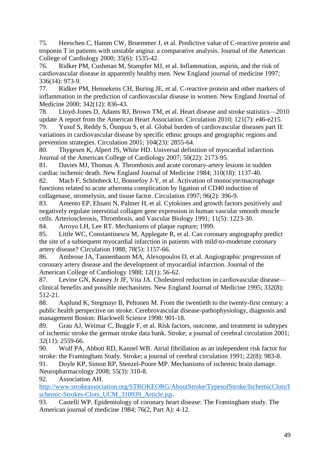75. Heeschen C, Hamm CW, Bruemmer J, et al. Predictive value of C-reactive protein and troponin T in patients with unstable angina: a comparative analysis. Journal of the American College of Cardiology 2000; 35(6): 1535-42.

76. Ridker PM, Cushman M, Stampfer MJ, et al. Inflammation, aspirin, and the risk of cardiovascular disease in apparently healthy men. New England journal of medicine 1997; 336(14): 973-9.

77. Ridker PM, Hennekens CH, Buring JE, et al. C-reactive protein and other markers of inflammation in the prediction of cardiovascular disease in women. New England Journal of Medicine 2000; 342(12): 836-43.

78. Lloyd-Jones D, Adams RJ, Brown TM, et al. Heart disease and stroke statistics—2010 update A report from the American Heart Association. Circulation 2010; 121(7): e46-e215.

79. Yusuf S, Reddy S, Ôunpuu S, et al. Global burden of cardiovascular diseases part II: variations in cardiovascular disease by specific ethnic groups and geographic regions and prevention strategies. Circulation 2001; 104(23): 2855-64.

80. Thygesen K, Alpert JS, White HD. Universal definition of myocardial infarction. Journal of the American College of Cardiology 2007; 50(22): 2173-95.

81. Davies MJ, Thomas A. Thrombosis and acute coronary-artery lesions in sudden cardiac ischemic death. New England Journal of Medicine 1984; 310(18): 1137-40.

82. Mach F, Schönbeck U, Bonnefoy J-Y, et al. Activation of monocyte/macrophage functions related to acute atheroma complication by ligation of CD40 induction of collagenase, stromelysin, and tissue factor. Circulation 1997; 96(2): 396-9.

83. Amento EP, Ehsani N, Palmer H, et al. Cytokines and growth factors positively and negatively regulate interstitial collagen gene expression in human vascular smooth muscle cells. Arteriosclerosis, Thrombosis, and Vascular Biology 1991; 11(5): 1223-30.

84. Arroyo LH, Lee RT. Mechanisms of plaque rupture; 1999.

85. Little WC, Constantinescu M, Applegate R, et al. Can coronary angiography predict the site of a subsequent myocardial infarction in patients with mild-to-moderate coronary artery disease? Circulation 1988; 78(5): 1157-66.

86. Ambrose JA, Tannenbaum MA, Alexopoulos D, et al. Angiographic progression of coronary artery disease and the development of myocardial infarction. Journal of the American College of Cardiology 1988; 12(1): 56-62.

87. Levine GN, Keaney Jr JF, Vita JA. Cholesterol reduction in cardiovascular disease clinical benefits and possible mechanisms. New England Journal of Medicine 1995; 332(8): 512-21.

88. Asplund K, Stegmayr B, Peltonen M. From the twentieth to the twenty-first century: a public health perspective on stroke. Cerebrovascular disease-pathophysiology, diagnosis and management Boston: Blackwell Science 1998: 901-18.

89. Grau AJ, Weimar C, Buggle F, et al. Risk factors, outcome, and treatment in subtypes of ischemic stroke the german stroke data bank. Stroke; a journal of cerebral circulation 2001; 32(11): 2559-66.

90. Wolf PA, Abbott RD, Kannel WB. Atrial fibrillation as an independent risk factor for stroke: the Framingham Study. Stroke; a journal of cerebral circulation 1991; 22(8): 983-8.

91. Doyle KP, Simon RP, Stenzel-Poore MP. Mechanisms of ischemic brain damage. Neuropharmacology 2008; 55(3): 310-8.

92. Association AH.

[http://www.strokeassociation.org/STROKEORG/AboutStroke/TypesofStroke/IschemicClots/I](http://www.strokeassociation.org/STROKEORG/AboutStroke/TypesofStroke/IschemicClots/Ischemic-Strokes-Clots_UCM_310939_Article.jsp) [schemic-Strokes-Clots\\_UCM\\_310939\\_Article.jsp.](http://www.strokeassociation.org/STROKEORG/AboutStroke/TypesofStroke/IschemicClots/Ischemic-Strokes-Clots_UCM_310939_Article.jsp)

93. Castelli WP. Epidemiology of coronary heart disease: The Framingham study. The American journal of medicine 1984; 76(2, Part A): 4-12.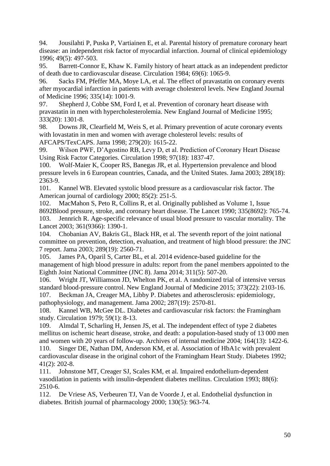94. Jousilahti P, Puska P, Vartiainen E, et al. Parental history of premature coronary heart disease: an independent risk factor of myocardial infarction. Journal of clinical epidemiology 1996; 49(5): 497-503.

95. Barrett-Connor E, Khaw K. Family history of heart attack as an independent predictor of death due to cardiovascular disease. Circulation 1984; 69(6): 1065-9.

96. Sacks FM, Pfeffer MA, Moye LA, et al. The effect of pravastatin on coronary events after myocardial infarction in patients with average cholesterol levels. New England Journal of Medicine 1996; 335(14): 1001-9.

97. Shepherd J, Cobbe SM, Ford I, et al. Prevention of coronary heart disease with pravastatin in men with hypercholesterolemia. New England Journal of Medicine 1995; 333(20): 1301-8.

98. Downs JR, Clearfield M, Weis S, et al. Primary prevention of acute coronary events with lovastatin in men and women with average cholesterol levels: results of AFCAPS/TexCAPS. Jama 1998; 279(20): 1615-22.

99. Wilson PWF, D'Agostino RB, Levy D, et al. Prediction of Coronary Heart Disease Using Risk Factor Categories. Circulation 1998; 97(18): 1837-47.

100. Wolf-Maier K, Cooper RS, Banegas JR, et al. Hypertension prevalence and blood pressure levels in 6 European countries, Canada, and the United States. Jama 2003; 289(18): 2363-9.

101. Kannel WB. Elevated systolic blood pressure as a cardiovascular risk factor. The American journal of cardiology 2000; 85(2): 251-5.

102. MacMahon S, Peto R, Collins R, et al. Originally published as Volume 1, Issue 8692Blood pressure, stroke, and coronary heart disease. The Lancet 1990; 335(8692): 765-74. 103. Jennrich R. Age-specific relevance of usual blood pressure to vascular mortality. The Lancet 2003; 361(9366): 1390-1.

104. Chobanian AV, Bakris GL, Black HR, et al. The seventh report of the joint national committee on prevention, detection, evaluation, and treatment of high blood pressure: the JNC 7 report. Jama 2003; 289(19): 2560-71.

105. James PA, Oparil S, Carter BL, et al. 2014 evidence-based guideline for the management of high blood pressure in adults: report from the panel members appointed to the Eighth Joint National Committee (JNC 8). Jama 2014; 311(5): 507-20.

106. Wright JT, Williamson JD, Whelton PK, et al. A randomized trial of intensive versus standard blood-pressure control. New England Journal of Medicine 2015; 373(22): 2103-16. 107. Beckman JA, Creager MA, Libby P. Diabetes and atherosclerosis: epidemiology, pathophysiology, and management. Jama 2002; 287(19): 2570-81.

108. Kannel WB, McGee DL. Diabetes and cardiovascular risk factors: the Framingham study. Circulation 1979; 59(1): 8-13.

109. Almdal T, Scharling H, Jensen JS, et al. The independent effect of type 2 diabetes mellitus on ischemic heart disease, stroke, and death: a population-based study of 13 000 men and women with 20 years of follow-up. Archives of internal medicine 2004; 164(13): 1422-6.

110. Singer DE, Nathan DM, Anderson KM, et al. Association of HbA1c with prevalent cardiovascular disease in the original cohort of the Framingham Heart Study. Diabetes 1992; 41(2): 202-8.

111. Johnstone MT, Creager SJ, Scales KM, et al. Impaired endothelium-dependent vasodilation in patients with insulin-dependent diabetes mellitus. Circulation 1993; 88(6): 2510-6.

112. De Vriese AS, Verbeuren TJ, Van de Voorde J, et al. Endothelial dysfunction in diabetes. British journal of pharmacology 2000; 130(5): 963-74.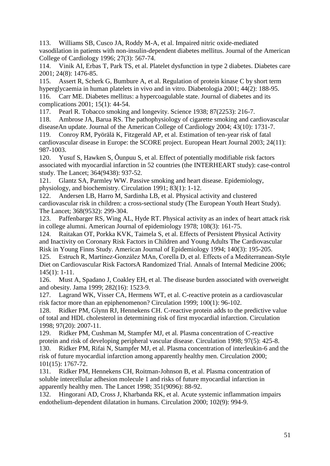113. Williams SB, Cusco JA, Roddy M-A, et al. Impaired nitric oxide-mediated vasodilation in patients with non-insulin-dependent diabetes mellitus. Journal of the American College of Cardiology 1996; 27(3): 567-74.

114. Vinik AI, Erbas T, Park TS, et al. Platelet dysfunction in type 2 diabetes. Diabetes care 2001; 24(8): 1476-85.

115. Assert R, Scherk G, Bumbure A, et al. Regulation of protein kinase C by short term hyperglycaemia in human platelets in vivo and in vitro. Diabetologia 2001; 44(2): 188-95. 116. Carr ME. Diabetes mellitus: a hypercoagulable state. Journal of diabetes and its complications 2001; 15(1): 44-54.

117. Pearl R. Tobacco smoking and longevity. Science 1938; 87(2253): 216-7.

118. Ambrose JA, Barua RS. The pathophysiology of cigarette smoking and cardiovascular diseaseAn update. Journal of the American College of Cardiology 2004; 43(10): 1731-7.

119. Conroy RM, Pyörälä K, Fitzgerald AP, et al. Estimation of ten-year risk of fatal cardiovascular disease in Europe: the SCORE project. European Heart Journal 2003; 24(11): 987-1003.

120. Yusuf S, Hawken S, Ôunpuu S, et al. Effect of potentially modifiable risk factors associated with myocardial infarction in 52 countries (the INTERHEART study): case-control study. The Lancet; 364(9438): 937-52.

121. Glantz SA, Parmley WW. Passive smoking and heart disease. Epidemiology, physiology, and biochemistry. Circulation 1991; 83(1): 1-12.

122. Andersen LB, Harro M, Sardinha LB, et al. Physical activity and clustered cardiovascular risk in children: a cross-sectional study (The European Youth Heart Study). The Lancet; 368(9532): 299-304.

123. Paffenbarger RS, Wing AL, Hyde RT. Physical activity as an index of heart attack risk in college alumni. American Journal of epidemiology 1978; 108(3): 161-75.

124. Raitakan OT, Porkka KVK, Taimela S, et al. Effects of Persistent Physical Activity and Inactivity on Coronary Risk Factors in Children and Young Adults The Cardiovascular Risk in Young Finns Study. American Journal of Epidemiology 1994; 140(3): 195-205.

125. Estruch R, Martínez-González MAn, Corella D, et al. Effects of a Mediterranean-Style Diet on Cardiovascular Risk FactorsA Randomized Trial. Annals of Internal Medicine 2006; 145(1): 1-11.

126. Must A, Spadano J, Coakley EH, et al. The disease burden associated with overweight and obesity. Jama 1999; 282(16): 1523-9.

127. Lagrand WK, Visser CA, Hermens WT, et al. C-reactive protein as a cardiovascular risk factor more than an epiphenomenon? Circulation 1999; 100(1): 96-102.

128. Ridker PM, Glynn RJ, Hennekens CH. C-reactive protein adds to the predictive value of total and HDL cholesterol in determining risk of first myocardial infarction. Circulation 1998; 97(20): 2007-11.

129. Ridker PM, Cushman M, Stampfer MJ, et al. Plasma concentration of C-reactive protein and risk of developing peripheral vascular disease. Circulation 1998; 97(5): 425-8.

130. Ridker PM, Rifai N, Stampfer MJ, et al. Plasma concentration of interleukin-6 and the risk of future myocardial infarction among apparently healthy men. Circulation 2000; 101(15): 1767-72.

131. Ridker PM, Hennekens CH, Roitman-Johnson B, et al. Plasma concentration of soluble intercellular adhesion molecule 1 and risks of future myocardial infarction in apparently healthy men. The Lancet 1998; 351(9096): 88-92.

132. Hingorani AD, Cross J, Kharbanda RK, et al. Acute systemic inflammation impairs endothelium-dependent dilatation in humans. Circulation 2000; 102(9): 994-9.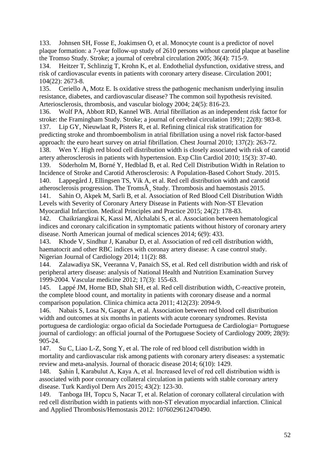133. Johnsen SH, Fosse E, Joakimsen O, et al. Monocyte count is a predictor of novel plaque formation: a 7-year follow-up study of 2610 persons without carotid plaque at baseline the Tromso Study. Stroke; a journal of cerebral circulation 2005; 36(4): 715-9.

134. Heitzer T, Schlinzig T, Krohn K, et al. Endothelial dysfunction, oxidative stress, and risk of cardiovascular events in patients with coronary artery disease. Circulation 2001; 104(22): 2673-8.

135. Ceriello A, Motz E. Is oxidative stress the pathogenic mechanism underlying insulin resistance, diabetes, and cardiovascular disease? The common soil hypothesis revisited. Arteriosclerosis, thrombosis, and vascular biology 2004; 24(5): 816-23.

136. Wolf PA, Abbott RD, Kannel WB. Atrial fibrillation as an independent risk factor for stroke: the Framingham Study. Stroke; a journal of cerebral circulation 1991; 22(8): 983-8. 137. Lip GY, Nieuwlaat R, Pisters R, et al. Refining clinical risk stratification for

predicting stroke and thromboembolism in atrial fibrillation using a novel risk factor-based approach: the euro heart survey on atrial fibrillation. Chest Journal 2010; 137(2): 263-72. 138. Wen Y. High red blood cell distribution width is closely associated with risk of carotid artery atherosclerosis in patients with hypertension. Exp Clin Cardiol 2010; 15(3): 37-40.

139. Söderholm M, Borné Y, Hedblad B, et al. Red Cell Distribution Width in Relation to Incidence of Stroke and Carotid Atherosclerosis: A Population-Based Cohort Study. 2015. 140. Lappegård J, Ellingsen TS, Vik A, et al. Red cell distribution width and carotid atherosclerosis progression. The Troms $\tilde{A}$ , Study. Thrombosis and haemostasis 2015. 141. Sahin O, Akpek M, Sarli B, et al. Association of Red Blood Cell Distribution Width Levels with Severity of Coronary Artery Disease in Patients with Non-ST Elevation

Myocardial Infarction. Medical Principles and Practice 2015; 24(2): 178-83.

142. Chaikriangkrai K, Kassi M, Alchalabi S, et al. Association between hematological indices and coronary calcification in symptomatic patients without history of coronary artery disease. North American journal of medical sciences 2014; 6(9): 433.

143. Khode V, Sindhur J, Kanabur D, et al. Association of red cell distribution width, haematocrit and other RBC indices with coronay artery disease: A case control study. Nigerian Journal of Cardiology 2014; 11(2): 88.

144. Zalawadiya SK, Veeranna V, Panaich SS, et al. Red cell distribution width and risk of peripheral artery disease: analysis of National Health and Nutrition Examination Survey 1999-2004. Vascular medicine 2012; 17(3): 155-63.

145. Lappé JM, Horne BD, Shah SH, et al. Red cell distribution width, C-reactive protein, the complete blood count, and mortality in patients with coronary disease and a normal comparison population. Clinica chimica acta 2011; 412(23): 2094-9.

146. Nabais S, Losa N, Gaspar A, et al. Association between red blood cell distribution width and outcomes at six months in patients with acute coronary syndromes. Revista portuguesa de cardiologia: orgao oficial da Sociedade Portuguesa de Cardiologia= Portuguese journal of cardiology: an official journal of the Portuguese Society of Cardiology 2009; 28(9): 905-24.

147. Su C, Liao L-Z, Song Y, et al. The role of red blood cell distribution width in mortality and cardiovascular risk among patients with coronary artery diseases: a systematic review and meta-analysis. Journal of thoracic disease 2014; 6(10): 1429.

148. Şahin İ, Karabulut A, Kaya A, et al. Increased level of red cell distribution width is associated with poor coronary collateral circulation in patients with stable coronary artery disease. Turk Kardiyol Dern Ars 2015; 43(2): 123-30.

149. Tanboga IH, Topcu S, Nacar T, et al. Relation of coronary collateral circulation with red cell distribution width in patients with non-ST elevation myocardial infarction. Clinical and Applied Thrombosis/Hemostasis 2012: 1076029612470490.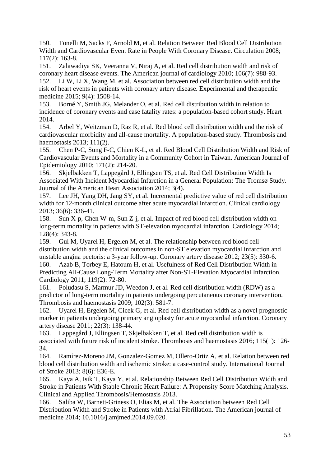150. Tonelli M, Sacks F, Arnold M, et al. Relation Between Red Blood Cell Distribution Width and Cardiovascular Event Rate in People With Coronary Disease. Circulation 2008; 117(2): 163-8.

151. Zalawadiya SK, Veeranna V, Niraj A, et al. Red cell distribution width and risk of coronary heart disease events. The American journal of cardiology 2010; 106(7): 988-93.

152. Li W, Li X, Wang M, et al. Association between red cell distribution width and the risk of heart events in patients with coronary artery disease. Experimental and therapeutic medicine 2015; 9(4): 1508-14.

153. Borné Y, Smith JG, Melander O, et al. Red cell distribution width in relation to incidence of coronary events and case fatality rates: a population-based cohort study. Heart 2014.

154. Arbel Y, Weitzman D, Raz R, et al. Red blood cell distribution width and the risk of cardiovascular morbidity and all-cause mortality. A population-based study. Thrombosis and haemostasis 2013; 111(2).

155. Chen P-C, Sung F-C, Chien K-L, et al. Red Blood Cell Distribution Width and Risk of Cardiovascular Events and Mortality in a Community Cohort in Taiwan. American Journal of Epidemiology 2010; 171(2): 214-20.

156. Skjelbakken T, Lappegård J, Ellingsen TS, et al. Red Cell Distribution Width Is Associated With Incident Myocardial Infarction in a General Population: The Tromsø Study. Journal of the American Heart Association 2014; 3(4).

157. Lee JH, Yang DH, Jang SY, et al. Incremental predictive value of red cell distribution width for 12-month clinical outcome after acute myocardial infarction. Clinical cardiology 2013; 36(6): 336-41.

158. Sun X-p, Chen W-m, Sun Z-j, et al. Impact of red blood cell distribution width on long-term mortality in patients with ST-elevation myocardial infarction. Cardiology 2014; 128(4): 343-8.

159. Gul M, Uyarel H, Ergelen M, et al. The relationship between red blood cell distribution width and the clinical outcomes in non-ST elevation myocardial infarction and unstable angina pectoris: a 3-year follow-up. Coronary artery disease 2012; 23(5): 330-6. 160. Azab B, Torbey E, Hatoum H, et al. Usefulness of Red Cell Distribution Width in Predicting All-Cause Long-Term Mortality after Non-ST-Elevation Myocardial Infarction. Cardiology 2011; 119(2): 72-80.

161. Poludasu S, Marmur JD, Weedon J, et al. Red cell distribution width (RDW) as a predictor of long-term mortality in patients undergoing percutaneous coronary intervention. Thrombosis and haemostasis 2009; 102(3): 581-7.

162. Uyarel H, Ergelen M, Cicek G, et al. Red cell distribution width as a novel prognostic marker in patients undergoing primary angioplasty for acute myocardial infarction. Coronary artery disease 2011; 22(3): 138-44.

163. Lappegård J, Ellingsen T, Skjelbakken T, et al. Red cell distribution width is associated with future risk of incident stroke. Thrombosis and haemostasis 2016; 115(1): 126- 34.

164. Ramírez-Moreno JM, Gonzalez-Gomez M, Ollero-Ortiz A, et al. Relation between red blood cell distribution width and ischemic stroke: a case-control study. International Journal of Stroke 2013; 8(6): E36-E.

165. Kaya A, Isik T, Kaya Y, et al. Relationship Between Red Cell Distribution Width and Stroke in Patients With Stable Chronic Heart Failure: A Propensity Score Matching Analysis. Clinical and Applied Thrombosis/Hemostasis 2013.

166. Saliba W, Barnett-Griness O, Elias M, et al. The Association between Red Cell Distribution Width and Stroke in Patients with Atrial Fibrillation. The American journal of medicine 2014; 10.1016/j.amjmed.2014.09.020.